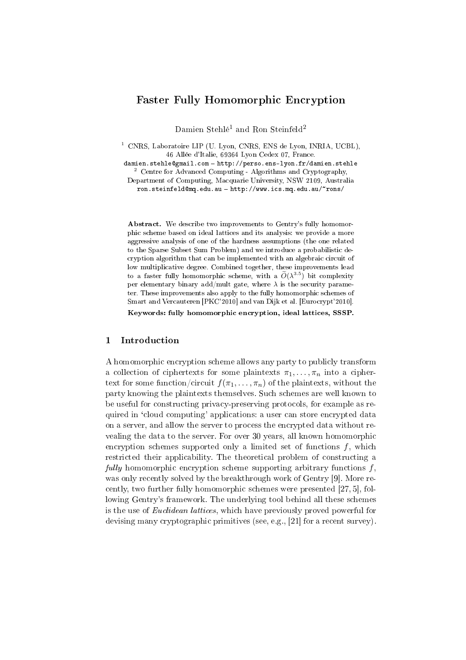# Faster Fully Homomorphic Encryption

Damien Stehlé<sup>1</sup> and Ron Steinfeld<sup>2</sup>

<sup>1</sup> CNRS, Laboratoire LIP (U. Lyon, CNRS, ENS de Lyon, INRIA, UCBL), 46 Allée d'Italie, 69364 Lyon Cedex 07, France.

damien.stehle@gmail.com - http://perso.ens-lyon.fr/damien.stehle <sup>2</sup> Centre for Advanced Computing - Algorithms and Cryptography,

Department of Computing, Macquarie University, NSW 2109, Australia ron.steinfeld@mq.edu.au - http://www.ics.mq.edu.au/~rons/

Abstract. We describe two improvements to Gentry's fully homomorphic scheme based on ideal lattices and its analysis: we provide a more aggressive analysis of one of the hardness assumptions (the one related to the Sparse Subset Sum Problem) and we introduce a probabilistic decryption algorithm that can be implemented with an algebraic circuit of low multiplicative degree. Combined together, these improvements lead to a faster fully homomorphic scheme, with a  $\widetilde{O}(\lambda^{3.5})$  bit complexity per elementary binary add/mult gate, where  $\lambda$  is the security parameter. These improvements also apply to the fully homomorphic schemes of Smart and Vercauteren [PKC'2010] and van Dijk et al. [Eurocrypt'2010].

Keywords: fully homomorphic encryption, ideal lattices, SSSP.

## 1 Introduction

A homomorphic encryption scheme allows any party to publicly transform a collection of ciphertexts for some plaintexts  $\pi_1, \ldots, \pi_n$  into a ciphertext for some function/circuit  $f(\pi_1, \ldots, \pi_n)$  of the plaintexts, without the party knowing the plaintexts themselves. Such schemes are well known to be useful for constructing privacy-preserving protocols, for example as required in 'cloud computing' applications: a user can store encrypted data on a server, and allow the server to process the encrypted data without revealing the data to the server. For over 30 years, all known homomorphic encryption schemes supported only a limited set of functions  $f$ , which restricted their applicability. The theoretical problem of constructing a fully homomorphic encryption scheme supporting arbitrary functions  $f$ , was only recently solved by the breakthrough work of Gentry [9]. More recently, two further fully homomorphic schemes were presented [27, 5], following Gentry's framework. The underlying tool behind all these schemes is the use of Euclidean lattices, which have previously proved powerful for devising many cryptographic primitives (see, e.g., [21] for a recent survey).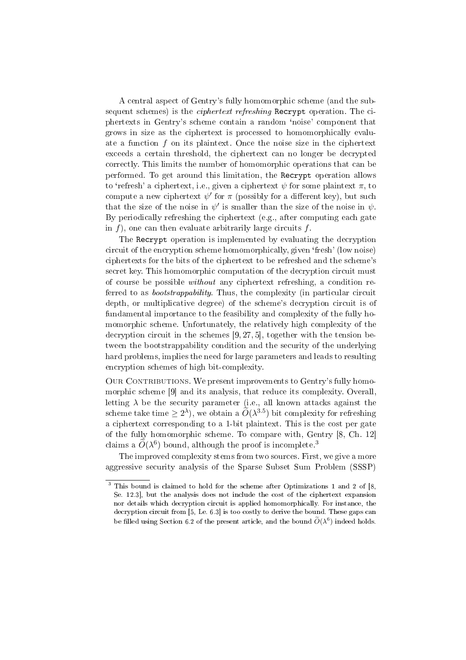A central aspect of Gentry's fully homomorphic scheme (and the subsequent schemes) is the *ciphertext refreshing* Recrypt operation. The ciphertexts in Gentry's scheme contain a random `noise' component that grows in size as the ciphertext is processed to homomorphically evaluate a function f on its plaintext. Once the noise size in the ciphertext exceeds a certain threshold, the ciphertext can no longer be decrypted correctly. This limits the number of homomorphic operations that can be performed. To get around this limitation, the Recrypt operation allows to 'refresh' a ciphertext, i.e., given a ciphertext  $\psi$  for some plaintext  $\pi$ , to compute a new ciphertext  $\psi'$  for  $\pi$  (possibly for a different key), but such that the size of the noise in  $\psi'$  is smaller than the size of the noise in  $\psi$ . By periodically refreshing the ciphertext (e.g., after computing each gate in  $f$ ), one can then evaluate arbitrarily large circuits  $f$ .

The Recrypt operation is implemented by evaluating the decryption circuit of the encryption scheme homomorphically, given `fresh' (low noise) ciphertexts for the bits of the ciphertext to be refreshed and the scheme's secret key. This homomorphic computation of the decryption circuit must of course be possible without any ciphertext refreshing, a condition referred to as *bootstrappability*. Thus, the complexity (in particular circuit depth, or multiplicative degree) of the scheme's decryption circuit is of fundamental importance to the feasibility and complexity of the fully homomorphic scheme. Unfortunately, the relatively high complexity of the decryption circuit in the schemes [9, 27, 5], together with the tension between the bootstrappability condition and the security of the underlying hard problems, implies the need for large parameters and leads to resulting encryption schemes of high bit-complexity.

OUR CONTRIBUTIONS. We present improvements to Gentry's fully homomorphic scheme [9] and its analysis, that reduce its complexity. Overall, letting  $\lambda$  be the security parameter (i.e., all known attacks against the scheme take time  $\geq 2^{\lambda}$ ), we obtain a  $\widetilde{O}(\lambda^{3.5})$  bit complexity for refreshing a ciphertext corresponding to a 1-bit plaintext. This is the cost per gate of the fully homomorphic scheme. To compare with, Gentry [8, Ch. 12] claims a  $\widetilde{O}(\lambda^6)$  bound, although the proof is incomplete.<sup>3</sup>

The improved complexity stems from two sources. First, we give a more aggressive security analysis of the Sparse Subset Sum Problem (SSSP)

 $3$  This bound is claimed to hold for the scheme after Optimizations 1 and 2 of [8, Se. 12.3], but the analysis does not include the cost of the ciphertext expansion nor details which decryption circuit is applied homomorphically. For instance, the decryption circuit from [5, Le. 6.3] is too costly to derive the bound. These gaps can be filled using Section 6.2 of the present article, and the bound  $\widetilde{O}(\lambda^6)$  indeed holds.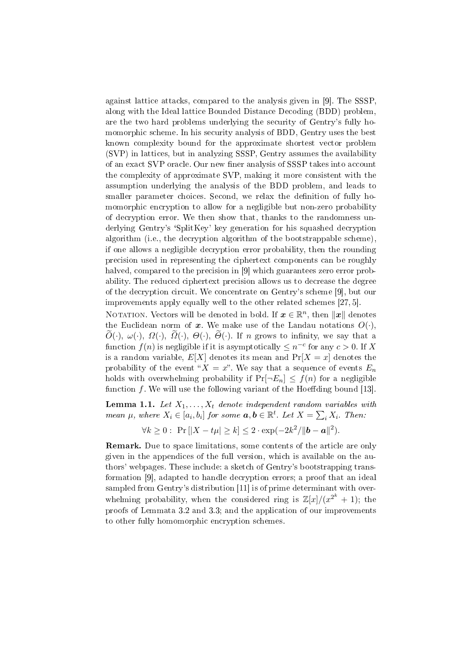against lattice attacks, compared to the analysis given in [9]. The SSSP, along with the Ideal lattice Bounded Distance Decoding (BDD) problem, are the two hard problems underlying the security of Gentry's fully homomorphic scheme. In his security analysis of BDD, Gentry uses the best known complexity bound for the approximate shortest vector problem (SVP) in lattices, but in analyzing SSSP, Gentry assumes the availability of an exact SVP oracle. Our new finer analysis of SSSP takes into account the complexity of approximate SVP, making it more consistent with the assumption underlying the analysis of the BDD problem, and leads to smaller parameter choices. Second, we relax the definition of fully homomorphic encryption to allow for a negligible but non-zero probability of decryption error. We then show that, thanks to the randomness underlying Gentry's `SplitKey' key generation for his squashed decryption algorithm (i.e., the decryption algorithm of the bootstrappable scheme), if one allows a negligible decryption error probability, then the rounding precision used in representing the ciphertext components can be roughly halved, compared to the precision in [9] which guarantees zero error probability. The reduced ciphertext precision allows us to decrease the degree of the decryption circuit. We concentrate on Gentry's scheme [9], but our improvements apply equally well to the other related schemes [27, 5].

NOTATION. Vectors will be denoted in bold. If  $\boldsymbol{x} \in \mathbb{R}^n,$  then  $\|\boldsymbol{x}\|$  denotes the Euclidean norm of x. We make use of the Landau notations  $O(\cdot)$ ,  $\overline{O}(\cdot), \omega(\cdot), \Omega(\cdot), \overline{O}(\cdot), \Theta(\cdot), \overline{\Theta}(\cdot)$ . If n grows to infinity, we say that a function  $f(n)$  is negligible if it is asymptotically  $\leq n^{-c}$  for any  $c > 0$ . If X is a random variable,  $E[X]$  denotes its mean and  $Pr[X = x]$  denotes the probability of the event " $X = x$ ". We say that a sequence of events  $E_n$ holds with overwhelming probability if  $Pr[\neg E_n] \leq f(n)$  for a negligible function  $f$ . We will use the following variant of the Hoeffding bound [13].

**Lemma 1.1.** Let  $X_1, \ldots, X_t$  denote independent random variables with mean  $\mu$ , where  $X_i \in [a_i,b_i]$  for some  $\boldsymbol{a},\boldsymbol{b} \in \mathbb{R}^t$ . Let  $X = \sum_i X_i$ . Then:

$$
\forall k \geq 0: \Pr[|X - t\mu| \geq k] \leq 2 \cdot \exp(-2k^2/\|\mathbf{b} - \mathbf{a}\|^2).
$$

**Remark.** Due to space limitations, some contents of the article are only given in the appendices of the full version, which is available on the authors' webpages. These include: a sketch of Gentry's bootstrapping transformation [9], adapted to handle decryption errors; a proof that an ideal sampled from Gentry's distribution [11] is of prime determinant with overwhelming probability, when the considered ring is  $\mathbb{Z}[x]/(x^{2^k} + 1)$ ; the proofs of Lemmata 3.2 and 3.3; and the application of our improvements to other fully homomorphic encryption schemes.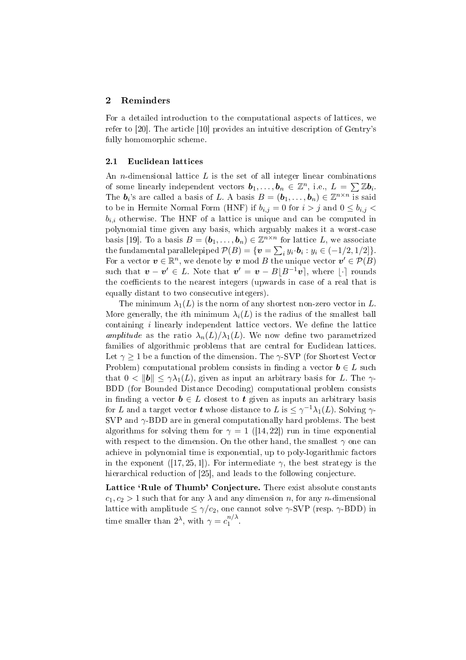### 2 Reminders

For a detailed introduction to the computational aspects of lattices, we refer to [20]. The article [10] provides an intuitive description of Gentry's fully homomorphic scheme.

#### 2.1 Euclidean lattices

An *n*-dimensional lattice  $L$  is the set of all integer linear combinations An *n*-dimensional lattice *L* is the set of an integer linear combinations of some linearly independent vectors  $b_1, \ldots, b_n \in \mathbb{Z}^n$ , i.e.,  $L = \sum \mathbb{Z} b_i$ . The  $b_i$ 's are called a basis of L. A basis  $B = (b_1, \ldots, b_n) \in \mathbb{Z}^{n \times n}$  is said to be in Hermite Normal Form (HNF) if  $b_{i,j} = 0$  for  $i > j$  and  $0 \leq b_{i,j} <$  $b_{i,i}$  otherwise. The HNF of a lattice is unique and can be computed in polynomial time given any basis, which arguably makes it a worst-case basis [19]. To a basis  $B = (\mathbf{b}_1, \dots, \mathbf{b}_n) \in \mathbb{Z}^{n \times n}$  for lattice L, we associate the fundamental parallelepiped  $\mathcal{P}(B) = \{ \boldsymbol{v} = \sum_i y_i \cdot \boldsymbol{b}_i : y_i \in (-1/2, 1/2] \}.$ For a vector  $\boldsymbol{v} \in \mathbb{R}^n$ , we denote by  $\boldsymbol{v}$  mod B the unique vector  $\boldsymbol{v}' \in \mathcal{P}(B)$ such that  $\boldsymbol{v} - \boldsymbol{v}' \in L$ . Note that  $\boldsymbol{v}' = \boldsymbol{v} - B\lfloor B^{-1}\boldsymbol{v} \rfloor$ , where  $\lfloor \cdot \rceil$  rounds the coefficients to the nearest integers (upwards in case of a real that is equally distant to two consecutive integers).

The minimum  $\lambda_1(L)$  is the norm of any shortest non-zero vector in L. More generally, the *i*th minimum  $\lambda_i(L)$  is the radius of the smallest ball containing  $i$  linearly independent lattice vectors. We define the lattice amplitude as the ratio  $\lambda_n(L)/\lambda_1(L)$ . We now define two parametrized families of algorithmic problems that are central for Euclidean lattices. Let  $\gamma \geq 1$  be a function of the dimension. The  $\gamma$ -SVP (for Shortest Vector Problem) computational problem consists in finding a vector  $\mathbf{b} \in L$  such that  $0 < ||b|| \leq \gamma \lambda_1(L)$ , given as input an arbitrary basis for L. The  $\gamma$ -BDD (for Bounded Distance Decoding) computational problem consists in finding a vector  $\mathbf{b} \in L$  closest to  $\mathbf{t}$  given as inputs an arbitrary basis for  $L$  and a target vector  $\boldsymbol{t}$  whose distance to  $L$  is  $\leq \gamma^{-1} \lambda_1(L)$ . Solving  $\gamma$ -SVP and  $\gamma$ -BDD are in general computationally hard problems. The best algorithms for solving them for  $\gamma = 1$  ([14,22]) run in time exponential with respect to the dimension. On the other hand, the smallest  $\gamma$  one can achieve in polynomial time is exponential, up to poly-logarithmic factors in the exponent ([17, 25, 1]). For intermediate  $\gamma$ , the best strategy is the hierarchical reduction of [25], and leads to the following conjecture.

Lattice 'Rule of Thumb' Conjecture. There exist absolute constants  $c_1, c_2 > 1$  such that for any  $\lambda$  and any dimension n, for any n-dimensional lattice with amplitude  $\leq \gamma/c_2$ , one cannot solve  $\gamma$ -SVP (resp.  $\gamma$ -BDD) in time smaller than  $2^{\lambda}$ , with  $\gamma = c_1^{n/\lambda}$  $\int_1^{\pi/2}$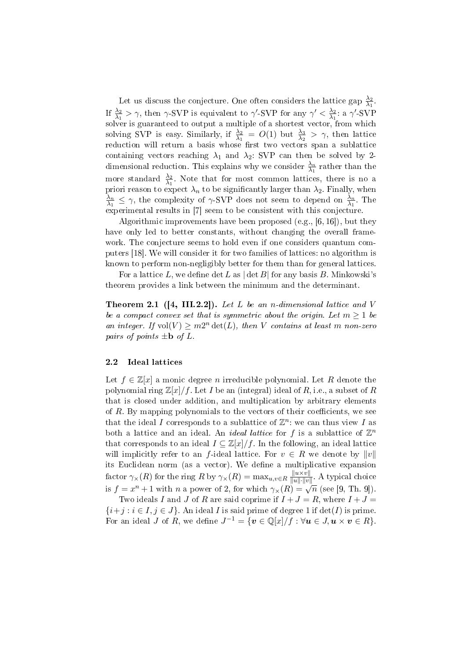Let us discuss the conjecture. One often considers the lattice gap  $\frac{\lambda_2}{\lambda_1}$ . If  $\frac{\lambda_2}{\lambda_1} > \gamma$ , then  $\gamma$ -SVP is equivalent to  $\gamma'$ -SVP for any  $\gamma' < \frac{\lambda_2}{\lambda_1}$  $\frac{\lambda_2}{\lambda_1}$ : a γ'-SVP solver is guaranteed to output a multiple of a shortest vector, from which solving SVP is easy. Similarly, if  $\frac{\lambda_2}{\lambda_1} = O(1)$  but  $\frac{\lambda_3}{\lambda_2} > \gamma$ , then lattice reduction will return a basis whose first two vectors span a sublattice containing vectors reaching  $\lambda_1$  and  $\lambda_2$ : SVP can then be solved by 2dimensional reduction. This explains why we consider  $\frac{\lambda_n}{\lambda_1}$  rather than the more standard  $\frac{\lambda_2}{\lambda_1}$ . Note that for most common lattices, there is no a priori reason to expect  $\lambda_n$  to be significantly larger than  $\lambda_2$ . Finally, when  $\lambda_n$  $\frac{\lambda_n}{\lambda_1} \leq \gamma$ , the complexity of  $\gamma$ -SVP does not seem to depend on  $\frac{\lambda_n}{\lambda_1}$ . The experimental results in [7] seem to be consistent with this conjecture.

Algorithmic improvements have been proposed (e.g., [6, 16]), but they have only led to better constants, without changing the overall framework. The conjecture seems to hold even if one considers quantum computers [18]. We will consider it for two families of lattices: no algorithm is known to perform non-negligibly better for them than for general lattices.

For a lattice L, we define  $\det L$  as  $|\det B|$  for any basis B. Minkowski's theorem provides a link between the minimum and the determinant.

**Theorem 2.1** ([4, III.2.2]). Let L be an n-dimensional lattice and V be a compact convex set that is symmetric about the origin. Let  $m \geq 1$  be an integer. If  $vol(V) \geq m2^n \det(L)$ , then V contains at least m non-zero pairs of points  $\pm \mathbf{b}$  of L.

#### 2.2 Ideal lattices

Let  $f \in \mathbb{Z}[x]$  a monic degree *n* irreducible polynomial. Let R denote the polynomial ring  $\mathbb{Z}[x]/f$ . Let I be an (integral) ideal of R, i.e., a subset of R that is closed under addition, and multiplication by arbitrary elements of  $R$ . By mapping polynomials to the vectors of their coefficients, we see that the ideal I corresponds to a sublattice of  $\mathbb{Z}^n$ : we can thus view I as both a lattice and an ideal. An *ideal lattice* for f is a sublattice of  $\mathbb{Z}^n$ that corresponds to an ideal  $I \subseteq \mathbb{Z}[x]/f$ . In the following, an ideal lattice will implicitly refer to an f-ideal lattice. For  $v \in R$  we denote by  $||v||$ its Euclidean norm (as a vector). We define a multiplicative expansion factor  $\gamma_{\times}(R)$  for the ring R by  $\gamma_{\times}(R) = \max_{u,v \in R} \frac{||u \times v||}{||u|| \cdot ||v||}$  $\frac{\|u \times v\|}{\|u\| \cdot \|v\|}$ . A typical choice is  $f = x^n + 1$  with *n* a power of 2, for which  $\gamma_\times(R) = \sqrt{n}$  (see [9, Th. 9]).

Two ideals I and J of R are said coprime if  $I + J = R$ , where  $I + J =$  ${i+j : i \in I, j \in J}$ . An ideal I is said prime of degree 1 if  $\det(I)$  is prime. For an ideal J of R, we define  $J^{-1} = \{ \boldsymbol{v} \in \mathbb{Q}[x]/f : \forall \boldsymbol{u} \in J, \boldsymbol{u} \times \boldsymbol{v} \in R \}.$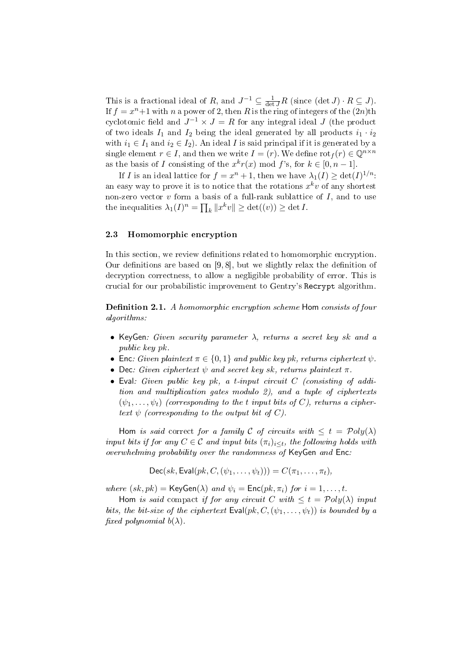This is a fractional ideal of R, and  $J^{-1} \subseteq \frac{1}{\det J}R$  (since  $(\det J) \cdot R \subseteq J$ ). If  $f = x^n + 1$  with n a power of 2, then R is the ring of integers of the  $(2n)$ th cyclotomic field and  $J^{-1} \times J = R$  for any integral ideal  $J$  (the product of two ideals  $I_1$  and  $I_2$  being the ideal generated by all products  $i_1 \cdot i_2$ with  $i_1 \in I_1$  and  $i_2 \in I_2$ ). An ideal I is said principal if it is generated by a single element  $r \in I$ , and then we write  $I = (r)$ . We define  $\text{rot}_f(r) \in \mathbb{Q}^{n \times n}$ as the basis of I consisting of the  $x^k r(x) \mod f$ 's, for  $k \in [0, n-1]$ .

If I is an ideal lattice for  $f = x^n + 1$ , then we have  $\lambda_1(I) \geq \det(I)^{1/n}$ : an easy way to prove it is to notice that the rotations  $x^k v$  of any shortest non-zero vector v form a basis of a full-rank sublattice of I, and to use the inequalities  $\lambda_1(I)^n = \prod_k ||x^k v|| \ge \det((v)) \ge \det I$ .

### 2.3 Homomorphic encryption

In this section, we review definitions related to homomorphic encryption. Our definitions are based on  $[9, 8]$ , but we slightly relax the definition of decryption correctness, to allow a negligible probability of error. This is crucial for our probabilistic improvement to Gentry's Recrypt algorithm.

**Definition 2.1.** A homomorphic encryption scheme Hom consists of four algorithms:

- KeyGen: Given security parameter  $\lambda$ , returns a secret key sk and a public key pk.
- Enc: Given plaintext  $\pi \in \{0,1\}$  and public key pk, returns ciphertext  $\psi$ .
- Dec: Given ciphertext  $\psi$  and secret key sk, returns plaintext  $\pi$ .
- Eval: Given public key pk, a t-input circuit  $C$  (consisting of addition and multiplication gates modulo 2), and a tuple of ciphertexts  $(\psi_1, \ldots, \psi_t)$  (corresponding to the t input bits of C), returns a ciphertext  $\psi$  (corresponding to the output bit of C).

Hom is said correct for a family C of circuits with  $\leq t = \mathcal{P}oly(\lambda)$ input bits if for any  $C \in \mathcal{C}$  and input bits  $(\pi_i)_{i \leq t}$ , the following holds with overwhelming probability over the randomness of KeyGen and Enc:

 $Dec(sk, \text{Eval}(pk, C, (\psi_1, \ldots, \psi_t))) = C(\pi_1, \ldots, \pi_t),$ 

where  $(sk, pk) = \text{KeyGen}(\lambda)$  and  $\psi_i = \text{Enc}(pk, \pi_i)$  for  $i = 1, ..., t$ .

Hom is said compact if for any circuit C with  $\leq t = \mathcal{P}oly(\lambda)$  input bits, the bit-size of the ciphertext  $\textsf{Eval}(pk, C, (\psi_1, \ldots, \psi_t))$  is bounded by a fixed polynomial  $b(\lambda)$ .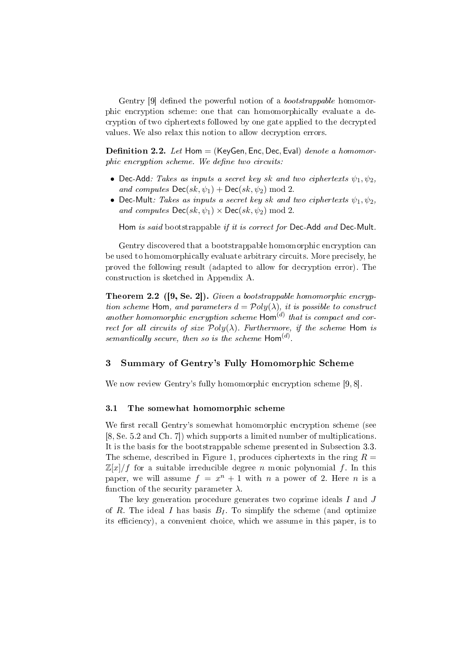Gentry [9] defined the powerful notion of a *bootstrappable* homomorphic encryption scheme: one that can homomorphically evaluate a decryption of two ciphertexts followed by one gate applied to the decrypted values. We also relax this notion to allow decryption errors.

**Definition 2.2.** Let Hom  $=$  (KeyGen, Enc, Dec, Eval) denote a homomor $phic$  encryption scheme. We define two circuits:

- Dec-Add: Takes as inputs a secret key sk and two ciphertexts  $\psi_1, \psi_2$ , and computes  $\mathsf{Dec}(sk, \psi_1) + \mathsf{Dec}(sk, \psi_2) \text{ mod } 2$ .
- Dec-Mult: Takes as inputs a secret key sk and two ciphertexts  $\psi_1, \psi_2$ , and computes  $\mathsf{Dec}(sk, \psi_1) \times \mathsf{Dec}(sk, \psi_2) \text{ mod } 2$ .

Hom is said bootstrappable if it is correct for Dec-Add and Dec-Mult.

Gentry discovered that a bootstrappable homomorphic encryption can be used to homomorphically evaluate arbitrary circuits. More precisely, he proved the following result (adapted to allow for decryption error). The construction is sketched in Appendix A.

Theorem 2.2 ([9, Se. 2]). Given a bootstrappable homomorphic encryption scheme Hom, and parameters  $d = \mathcal{P}oly(\lambda)$ , it is possible to construct another homomorphic encryption scheme  $\textsf{Hom}^{(d)}$  that is compact and correct for all circuits of size  $Poly(\lambda)$ . Furthermore, if the scheme Hom is semantically secure, then so is the scheme  $\mathsf{Hom}^{(d)}$ .

## 3 Summary of Gentry's Fully Homomorphic Scheme

We now review Gentry's fully homomorphic encryption scheme [9, 8].

#### 3.1 The somewhat homomorphic scheme

We first recall Gentry's somewhat homomorphic encryption scheme (see [8, Se. 5.2 and Ch. 7]) which supports a limited number of multiplications. It is the basis for the bootstrappable scheme presented in Subsection 3.3. The scheme, described in Figure 1, produces ciphertexts in the ring  $R =$  $\mathbb{Z}[x]/f$  for a suitable irreducible degree *n* monic polynomial f. In this paper, we will assume  $f = x^n + 1$  with n a power of 2. Here n is a function of the security parameter  $\lambda$ .

The key generation procedure generates two coprime ideals I and J of R. The ideal I has basis  $B_I$ . To simplify the scheme (and optimize its efficiency), a convenient choice, which we assume in this paper, is to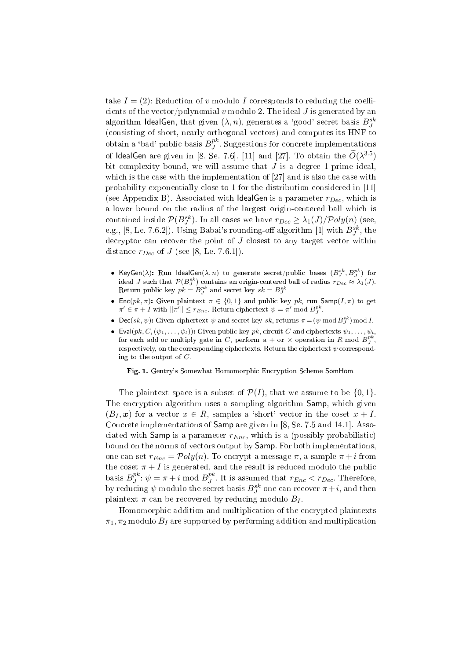take  $I = (2)$ : Reduction of v modulo I corresponds to reducing the coefficients of the vector/polynomial v modulo 2. The ideal  $J$  is generated by an algorithm IdealGen, that given  $(\lambda,n),$  generates a 'good' secret basis  $B^{sk}_J$ (consisting of short, nearly orthogonal vectors) and computes its HNF to obtain a 'bad' public basis  $B^{pk}_J$  $J<sup>p<sub>K</sub></sup>$ . Suggestions for concrete implementations of IdealGen are given in [8, Se. 7.6], [11] and [27]. To obtain the  $\widetilde{O}(\lambda^{3.5})$ bit complexity bound, we will assume that  $J$  is a degree 1 prime ideal, which is the case with the implementation of [27] and is also the case with probability exponentially close to 1 for the distribution considered in [11] (see Appendix B). Associated with IdealGen is a parameter  $r_{Dec}$ , which is a lower bound on the radius of the largest origin-centered ball which is contained inside  $\mathcal{P}(B^{sk}_J)$ . In all cases we have  $r_{Dec}\geq \lambda_1(J)/\mathcal{P}oly(n)$  (see, e.g., [8, Le. 7.6.2]). Using Babai's rounding-off algorithm [1] with  $B^{sk}_J$ , the decryptor can recover the point of  $J$  closest to any target vector within distance  $r_{Dec}$  of J (see [8, Le. 7.6.1]).

- KeyGen $(\lambda)$ : Run IdealGen $(\lambda, n)$  to generate secret/public bases  $(B^{sk}_J, B^{pk}_J)$  for ideal J such that  $\mathcal{P}(B_J^{sk})$  contains an origin-centered ball of radius  $r_{Dec}\approx\lambda_1(J)$ . Return public key  $pk = B_J^{pk}$  and secret key  $sk = B_J^{sk}$ .
- Enc(pk,  $\pi$ ): Given plaintext  $\pi \in \{0,1\}$  and public key pk, run Samp(I,  $\pi$ ) to get  $\pi' \in \pi + I$  with  $\|\pi'\| \leq r_{Enc}$ . Return ciphertext  $\psi = \pi'$  mod  $B^{pk}_J$ .
- Dec(sk,  $\psi$ ): Given ciphertext  $\psi$  and secret key sk, returns  $\pi = (\psi \mod B_J^{sk}) \mod I$ .
- Eval $(pk, C, (\psi_1, \ldots, \psi_t))$ : Given public key  $pk$ , circuit C and ciphertexts  $\psi_1, \ldots, \psi_t$ , for each add or multiply gate in C, perform a + or  $\times$  operation in R mod  $B^{pk}_J$ , respectively, on the corresponding ciphertexts. Return the ciphertext  $\psi$  corresponding to the output of  $C$ .

Fig. 1. Gentry's Somewhat Homomorphic Encryption Scheme SomHom.

The plaintext space is a subset of  $\mathcal{P}(I)$ , that we assume to be  $\{0, 1\}$ . The encryption algorithm uses a sampling algorithm Samp, which given  $(B_I, x)$  for a vector  $x \in R$ , samples a 'short' vector in the coset  $x + I$ . Concrete implementations of Samp are given in [8, Se. 7.5 and 14.1]. Associated with Samp is a parameter  $r_{Enc}$ , which is a (possibly probabilistic) bound on the norms of vectors output by Samp. For both implementations, one can set  $r_{Enc} = \mathcal{P}oly(n)$ . To encrypt a message  $\pi$ , a sample  $\pi + i$  from the coset  $\pi + I$  is generated, and the result is reduced modulo the public basis  $B_J^{pk}$  $j^{pk}$ :  $\psi = \pi + i \mod B_j^{pk}$  $j^{\mu}$ . It is assumed that  $r_{Enc} < r_{Dec}$ . Therefore, by reducing  $\psi$  modulo the secret basis  $B^{sk}_J$  one can recover  $\pi+i,$  and then plaintext  $\pi$  can be recovered by reducing modulo  $B_I$ .

Homomorphic addition and multiplication of the encrypted plaintexts  $\pi_1$ ,  $\pi_2$  modulo  $B_I$  are supported by performing addition and multiplication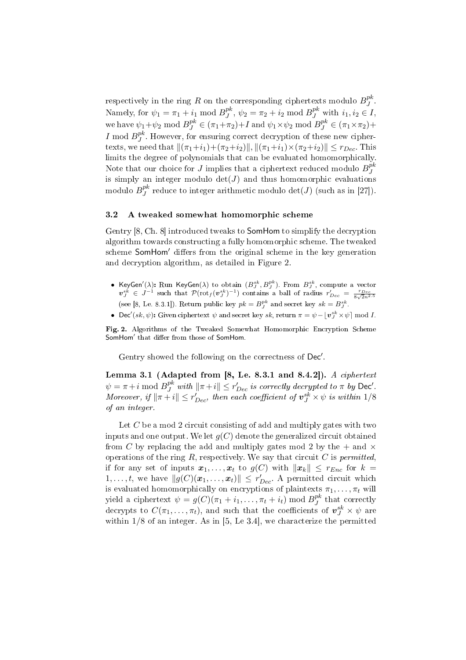respectively in the ring  $R$  on the corresponding ciphertexts modulo  $B^{pk}_{J}$  $\frac{p\kappa}{J}$  . Namely, for  $\psi_1 = \pi_1 + i_1 \bmod B^{pk}_J$  $j^{pk}$ ,  $\psi_2 = \pi_2 + i_2 \mod B_J^{pk}$  with  $i_1, i_2 \in I$ , we have  $\psi_1 + \psi_2 \mod B_J^{pk} \in (\pi_1 + \pi_2) + I$  and  $\psi_1 \times \psi_2 \mod B_J^{pk} \in (\pi_1 \times \pi_2) + I$ I mod  $B_I^{pk}$  $J<sup>pK</sup>$ . However, for ensuring correct decryption of these new ciphertexts, we need that  $\|(\pi_1+i_1)+(\pi_2+i_2)\|, \|(\pi_1+i_1)\times(\pi_2+i_2)\| \leq r_{Dec}$ . This limits the degree of polynomials that can be evaluated homomorphically. Note that our choice for J implies that a ciphertext reduced modulo  $B^{pk}_J$ J is simply an integer modulo  $det(J)$  and thus homomorphic evaluations modulo  $B^{pk}_J$  $J^{\textit{pk}}$  reduce to integer arithmetic modulo  $\det(J)$  (such as in [27]).

#### 3.2 A tweaked somewhat homomorphic scheme

Gentry [8, Ch. 8] introduced tweaks to SomHom to simplify the decryption algorithm towards constructing a fully homomorphic scheme. The tweaked scheme SomHom' differs from the original scheme in the key generation and decryption algorithm, as detailed in Figure 2.

- KeyGen $'(\lambda)$ : Run KeyGen $(\lambda)$  to obtain  $(B_j^{sk}, B_j^{pk})$ . From  $B_j^{sk}$ , compute a vector  $v_J^{sk} \in J^{-1}$  such that  $\mathcal{P}(\text{rot}_f(v_J^{sk})^{-1})$  contains a ball of radius  $r'_{Dec} = \frac{r_{Dec}}{8\sqrt{2n^{2.5}}}$ (see [8, Le. 8.3.1]). Return public key  $pk = B_J^{pk}$  and secret key  $sk = B_J^{sk}$ .
- Dec'(sk,  $\psi$ ): Given ciphertext  $\psi$  and secret key sk, return  $\pi = \psi \lfloor v_j^{sk} \times \psi \rfloor \bmod I$ .

Fig. 2. Algorithms of the Tweaked Somewhat Homomorphic Encryption Scheme SomHom' that differ from those of SomHom.

Gentry showed the following on the correctness of Dec'.

Lemma 3.1 (Adapted from  $[8,$  Le. 8.3.1 and 8.4.2]). A ciphertext  $\psi = \pi + i \bmod B_J^{pk}$  with  $\|\pi + i\| \le r'_{Dec}$  is correctly decrypted to  $\pi$  by Dec'. Moreover, if  $\|\pi + i\| \leq r'_{Dec}$ , then each coefficient of  $\bm{v}_J^{sk} \times \psi$  is within  $1/8$ of an integer.

Let  $C$  be a mod 2 circuit consisting of add and multiply gates with two inputs and one output. We let  $q(C)$  denote the generalized circuit obtained from C by replacing the add and multiply gates mod 2 by the  $+$  and  $\times$ operations of the ring  $R$ , respectively. We say that circuit  $C$  is *permitted*, if for any set of inputs  $x_1, \ldots, x_t$  to  $g(C)$  with  $||x_k|| \leq r_{Enc}$  for  $k =$  $1, \ldots, t$ , we have  $||g(C)(x_1, \ldots, x_t)|| \leq r'_{Dec}$ . A permitted circuit which is evaluated homomorphically on encryptions of plaintexts  $\pi_1, \ldots, \pi_t$  will yield a ciphertext  $\psi = g(C)(\pi_1 + i_1, \ldots, \pi_t + i_t) \bmod B_J^{pk}$  $J<sup>p<sub>K</sub></sup>$  that correctly decrypts to  $C(\pi_1,\ldots,\pi_t),$  and such that the coefficients of  $\bm{v}_J^{sk}\times\psi$  are within 1/8 of an integer. As in [5, Le 3.4], we characterize the permitted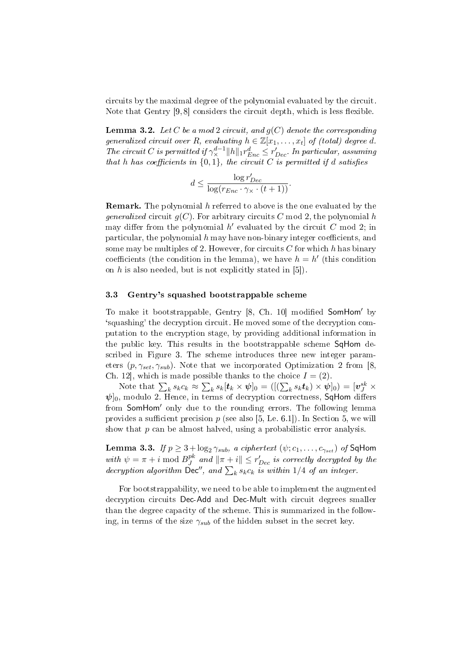circuits by the maximal degree of the polynomial evaluated by the circuit. Note that Gentry  $[9, 8]$  considers the circuit depth, which is less flexible.

**Lemma 3.2.** Let C be a mod 2 circuit, and  $g(C)$  denote the corresponding generalized circuit over R, evaluating  $h \in \mathbb{Z}[x_1,\ldots,x_t]$  of (total) degree d. The circuit C is permitted if  $\gamma_{\times}^{d-1} ||h||_1 r_{Enc}^d \leq r_{Dec}^{\prime}$ . In particular, assuming that h has coefficients in  $\{0,1\}$ , the circuit C is permitted if d satisfies

$$
d \le \frac{\log r'_{Dec}}{\log(r_{Enc} \cdot \gamma_{\times} \cdot (t+1))}.
$$

**Remark.** The polynomial h referred to above is the one evaluated by the *generalized* circuit  $q(C)$ . For arbitrary circuits C mod 2, the polynomial h may differ from the polynomial  $h'$  evaluated by the circuit C mod 2; in particular, the polynomial  $h$  may have non-binary integer coefficients, and some may be multiples of 2. However, for circuits  $C$  for which h has binary coefficients (the condition in the lemma), we have  $h = h'$  (this condition on  $h$  is also needed, but is not explicitly stated in [5]).

### 3.3 Gentry's squashed bootstrappable scheme

To make it bootstrappable, Gentry  $[8, Ch. 10]$  modified SomHom' by `squashing' the decryption circuit. He moved some of the decryption computation to the encryption stage, by providing additional information in the public key. This results in the bootstrappable scheme SqHom described in Figure 3. The scheme introduces three new integer parameters  $(p, \gamma_{set}, \gamma_{sub})$ . Note that we incorporated Optimization 2 from [8, Ch. 12, which is made possible thanks to the choice  $I = (2)$ . ادەر<br>—

 $\Gamma$  -12], which is made p<br>Note that  $\sum_k s_k c_k \approx$ ble thanks to the choice  $I = (2)$ .<br>  $k s_k[\mathbf{t}_k \times \mathbf{\psi}]_0 = ([(\sum_k s_k \mathbf{t}_k) \times \mathbf{\psi}]_0) = [\mathbf{v}_J^{sk} \times$  $\psi$ <sub>0</sub>, modulo 2. Hence, in terms of decryption correctness, SqHom differs from **SomHom'** only due to the rounding errors. The following lemma provides a sufficient precision  $p$  (see also [5, Le. 6.1]). In Section 5, we will show that  $p$  can be almost halved, using a probabilistic error analysis.

Lemma 3.3. If  $p \geq 3 + \log_2 \gamma_{sub}$ , a ciphertext  $(\psi; c_1, \ldots, c_{\gamma_{set}})$  of SqHom with  $\psi = \pi + i \mod B_J^{pk}$ with  $\psi = \pi + i \mod B_J^{pk}$  and  $\|\pi + i\| \leq r'_{Dec}$  is correctly decrypted by the decryption algorithm  $\text{Dec}''$ , and  $\sum_k s_k c_k$  is within 1/4 of an integer.

For bootstrappability, we need to be able to implement the augmented decryption circuits Dec-Add and Dec-Mult with circuit degrees smaller than the degree capacity of the scheme. This is summarized in the following, in terms of the size  $\gamma_{sub}$  of the hidden subset in the secret key.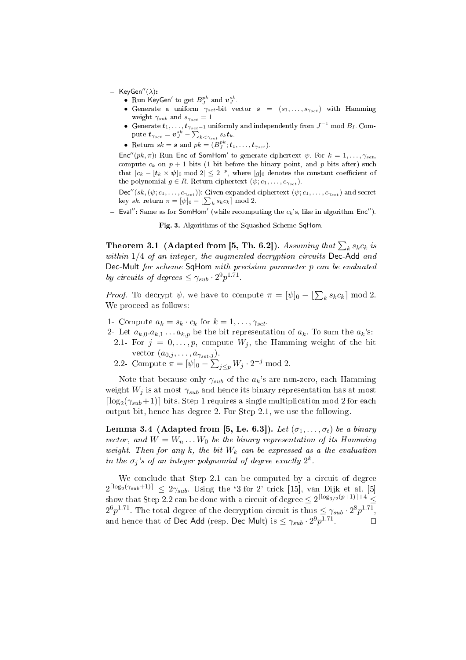- $-$  KeyGen"( $\lambda$ ):
	- Run KeyGen' to get  $B^{pk}_J$  and  $v^{sk}_J$ .
	- Generate a uniform  $\gamma_{set}$  bit vector  $s = (s_1, \ldots, s_{\gamma_{set}})$  with Hamming weight  $\gamma_{sub}$  and  $s_{\gamma_{set}} = 1$ .
	- Generate  $t_1, \ldots, t_{\gamma_{set}-1}$  uniformly and independently from  $J^{-1}$  mod  $B_I$ . Com-Generate  $\bm{\iota}_{1},\dots,\bm{\iota}_{\gamma_{set}}$   $\vdots$   $\mathcal{V}^{k}_{j}$  $_{k<\gamma_{set}} s_k \boldsymbol{t}_k.$
	- Return  $sk = s$  and  $pk = (B_j^{pk}; t_1, \ldots, t_{\gamma_{set}})$ .
- Enc''( $pk, \pi$ ): Run Enc of SomHom' to generate ciphertext  $\psi$ . For  $k = 1, \ldots, \gamma_{set}$ compute  $c_k$  on  $p + 1$  bits (1 bit before the binary point, and p bits after) such that  $|c_k - [t_k \times \psi]_0 \mod 2| \leq 2^{-p}$ , where  $[g]_0$  denotes the constant coefficient of the polynomial  $g \in R$ . Return ciphertext  $(\psi; c_1, \ldots, c_{\gamma_{set}})$ .
- $-\textsf{Dec}''(sk,(\psi;c_1,\ldots,c_{\gamma_{set}}))$ : Given expanded ciphertext  $(\psi;c_1,\ldots,c_{\gamma_{set}})$  and secret bec  $(s\kappa, (\psi; c_1, \ldots, c_{\gamma_{set}}))$ : Given expanded<br>key sk, return  $\pi = [\psi]_0 - [\sum_k s_k c_k] \mod 2$ .
- Eval": Same as for SomHom' (while recomputing the  $c_k$ 's, like in algorithm Enc").

Fig. 3. Algorithms of the Squashed Scheme SqHom.

Theorem 3.1 (Adapted from [5, Th. 6.2]). Assuming that  $\sum_k s_kc_k$  is within  $1/4$  of an integer, the augmented decryption circuits Dec-Add and Dec-Mult for scheme SqHom with precision parameter p can be evaluated by circuits of degrees  $\leq \gamma_{sub} \cdot 2^9 p^{1.71}$ .

*Proof.* To decrypt  $\psi$ , we have to compute  $\pi = [\psi]_0 - [\sum_k s_k c_k] \bmod 2$ . We proceed as follows:

1- Compute  $a_k = s_k \cdot c_k$  for  $k = 1, \ldots, \gamma_{set}$ .

- 2- Let  $a_{k,0}.a_{k,1}...a_{k,p}$  be the bit representation of  $a_k$ . To sum the  $a_k$ 's:
	- 2.1- For  $j = 0, \ldots, p$ , compute  $W_j$ , the Hamming weight of the bit vector  $(a_{0,j}, \ldots, a_{\gamma_{set},j}).$  $\frac{j}{n}$
	- 2.2- Compute  $\pi = [\psi]_0$   $_{j\leq p}W_j\cdot 2^{-j} \bmod 2.$

Note that because only  $\gamma_{sub}$  of the  $a_k$ 's are non-zero, each Hamming weight  $W_i$  is at most  $\gamma_{sub}$  and hence its binary representation has at most  $\lceil \log_2(\gamma_{sub}+1) \rceil$  bits. Step 1 requires a single multiplication mod 2 for each output bit, hence has degree 2. For Step 2.1, we use the following.

Lemma 3.4 (Adapted from [5, Le. 6.3]). Let  $(\sigma_1, \ldots, \sigma_t)$  be a binary vector, and  $W = W_n \dots W_0$  be the binary representation of its Hamming weight. Then for any k, the bit  $W_k$  can be expressed as a the evaluation in the  $\sigma_j$ 's of an integer polynomial of degree exactly  $2^k$ .

We conclude that Step 2.1 can be computed by a circuit of degree  $2^{\lceil \log_2(\gamma_{sub}+1) \rceil} \leq 2\gamma_{sub}$ . Using the '3-for-2' trick [15], van Dijk et al. [5] show that Step 2.2 can be done with a circuit of degree  $\leq 2^{\lceil \log_{3/2}(p+1) \rceil+4} \leq$  $2^6p^{1.71}$ . The total degree of the decryption circuit is thus  $\leq \gamma_{sub} \cdot 2^8p^{1.71}$ , and hence that of Dec-Add (resp. Dec-Mult) is  $\leq \gamma_{sub} \cdot 2^{9} p^{1.71}$  $\Box$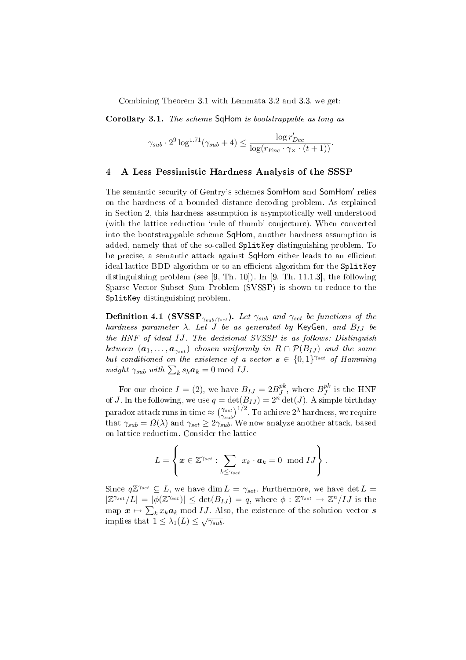Combining Theorem 3.1 with Lemmata 3.2 and 3.3, we get:

Corollary 3.1. The scheme SqHom is bootstrappable as long as

$$
\gamma_{sub} \cdot 2^9 \log^{1.71}(\gamma_{sub} + 4) \le \frac{\log r'_{Dec}}{\log(r_{Enc} \cdot \gamma_{\times} \cdot (t+1))}.
$$

#### 4 A Less Pessimistic Hardness Analysis of the SSSP

The semantic security of Gentry's schemes SomHom and SomHom' relies on the hardness of a bounded distance decoding problem. As explained in Section 2, this hardness assumption is asymptotically well understood (with the lattice reduction 'rule of thumb' conjecture). When converted into the bootstrappable scheme SqHom, another hardness assumption is added, namely that of the so-called SplitKey distinguishing problem. To be precise, a semantic attack against SqHom either leads to an efficient ideal lattice BDD algorithm or to an efficient algorithm for the SplitKey distinguishing problem (see [9, Th. 10]). In [9, Th. 11.1.3], the following Sparse Vector Subset Sum Problem (SVSSP) is shown to reduce to the SplitKey distinguishing problem.

**Definition 4.1 (SVSSP**<sub> $\gamma_{sub}, \gamma_{set}$ ). Let  $\gamma_{sub}$  and  $\gamma_{set}$  be functions of the</sub> hardness parameter  $\lambda$ . Let J be as generated by KeyGen, and  $B_{IJ}$  be the HNF of ideal IJ. The decisional SVSSP is as follows: Distinguish between  $(a_1, \ldots, a_{\gamma_{set}})$  chosen uniformly in  $R \cap \mathcal{P}(B_{IJ})$  and the same but conditioned on the existence of a vector  $s \in \{0,1\}^{\gamma_{set}}$  of Hamming *vai* conditioned on the existence of a<br>weight  $\gamma_{sub}$  with  $\sum_{k} s_k a_k = 0 \mod IJ$ .

For our choice  $I = (2)$ , we have  $B_{IJ} = 2B^{pk}_{J}$  $j^{pk}$ , where  $B_J^{pk}$  $_J^{p\kappa}$  is the HNF of J. In the following, we use  $q = \det(B_{IJ}) = 2^n \det(J)$ . A simple birthday  $\rm{paradox\ attack\ runs\ in\ time} \approx$  $\frac{1}{\gamma_{set}}$  $\gamma_{sub}$  $\left(\frac{D_1}{D_1}\right)^{1/2}$ . To achieve  $2^{\lambda}$  hardness, we require that  $\gamma_{sub} = \Omega(\lambda)$  and  $\gamma_{set} \geq 2\gamma_{sub}^{max}$ . We now analyze another attack, based on lattice reduction. Consider the lattice

$$
L = \left\{ \boldsymbol{x} \in \mathbb{Z}^{\gamma_{set}} : \sum_{k \leq \gamma_{set}} x_k \cdot \boldsymbol{a}_k = 0 \mod IJ \right\}.
$$

Since  $q\mathbb{Z}^{\gamma_{set}} \subseteq L$ , we have dim  $L = \gamma_{set}$ . Furthermore, we have det  $L =$  $|\mathbb{Z}^{\gamma_{set}}/L| = |\phi(\mathbb{Z}^{\gamma_{set}})| \leq \det(B_{IJ}) = q$ , where  $\phi : \mathbb{Z}^{\gamma_{set}} \to \mathbb{Z}^n/IJ$  is the map  $x \mapsto \sum_k x_k a_k \bmod{IJ}$  . Also, the existence of the solution vector  $s$ implies that  $1 \leq \lambda_1(L) \leq \sqrt{\gamma_{sub}}$ .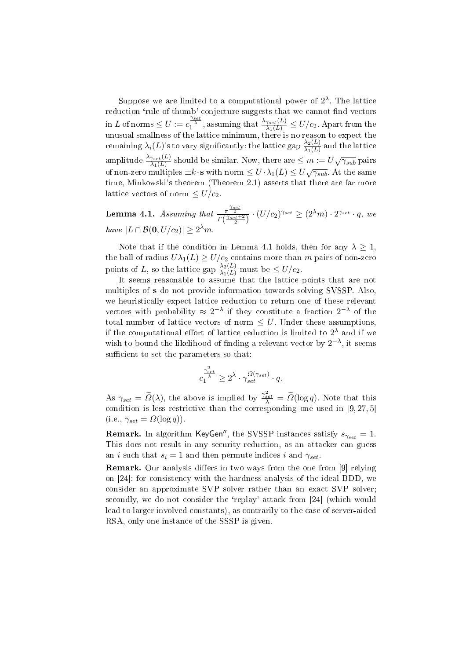Suppose we are limited to a computational power of  $2^{\lambda}$ . The lattice reduction 'rule of thumb' conjecture suggests that we cannot find vectors  $\lim L$  of norms  $\leq U := c_1^{\frac{\gamma_{set}}{\lambda}}$ , assuming that  $\frac{\lambda_{\gamma_{set}}(L)}{\lambda_1(L)} \leq U/c_2$ . Apart from the unusual smallness of the lattice minimum, there is no reason to expect the  $\alpha$  remaining  $\lambda_i(L)$ 's to vary significantly: the lattice gap  $\frac{\lambda_2(L)}{\lambda_1(L)}$  and the lattice amplitude  $\frac{\lambda_{\gamma_{set}}(L)}{\lambda_1(L)}$  should be similar. Now, there are  $\leq m:=U\sqrt{\gamma_{sub}}$  pairs of non-zero multiples  $\pm k \cdot s$  with norm  $\leq U \cdot \lambda_1(L) \leq U \sqrt{\gamma_{sub}}$ . At the same time, Minkowski's theorem (Theorem 2.1) asserts that there are far more lattice vectors of norm  $\leq U/c_2$ .

Lemma 4.1. Assuming that  $\frac{\pi^{\frac{\gamma_{set}}{2}}}{\Gamma(\frac{\gamma_{set}+2}{2})}\cdot (U/c_2)^{\gamma_{set}} \geq (2^{\lambda}m)\cdot 2^{\gamma_{set}}\cdot q$ , we have  $|L \cap \mathcal{B}(0, U/c_2)| \geq 2^{\lambda} m$ .

Note that if the condition in Lemma 4.1 holds, then for any  $\lambda \geq 1$ , the ball of radius  $U\lambda_1(L)\geq U/c_2$  contains more than  $m$  pairs of non-zero points of L, so the lattice gap  $\frac{\lambda_2(L)}{\lambda_1(L)}$  must be  $\leq U/c_2$ .

It seems reasonable to assume that the lattice points that are not multiples of s do not provide information towards solving SVSSP. Also, we heuristically expect lattice reduction to return one of these relevant vectors with probability  $\approx 2^{-\lambda}$  if they constitute a fraction  $2^{-\lambda}$  of the total number of lattice vectors of norm  $\leq U$ . Under these assumptions, if the computational effort of lattice reduction is limited to  $2^{\lambda}$  and if we wish to bound the likelihood of finding a relevant vector by  $2^{-\lambda}$ , it seems sufficient to set the parameters so that:

$$
c_1^{\frac{\gamma_{set}^2}{\lambda}} \ge 2^{\lambda} \cdot \gamma_{set}^{\Omega(\gamma_{set})} \cdot q.
$$

As  $\gamma_{set} = \widetilde{\Omega}(\lambda)$ , the above is implied by  $\frac{\gamma_{set}^2}{\lambda} = \widetilde{\Omega}(\log q)$ . Note that this condition is less restrictive than the corresponding one used in [9, 27, 5] (i.e.,  $\gamma_{set} = \Omega(\log q)$ ).

**Remark.** In algorithm KeyGen<sup>''</sup>, the SVSSP instances satisfy  $s_{\gamma_{set}} = 1$ . This does not result in any security reduction, as an attacker can guess an *i* such that  $s_i = 1$  and then permute indices *i* and  $\gamma_{set}$ .

**Remark.** Our analysis differs in two ways from the one from [9] relying on [24]: for consistency with the hardness analysis of the ideal BDD, we consider an approximate SVP solver rather than an exact SVP solver; secondly, we do not consider the 'replay' attack from [24] (which would lead to larger involved constants), as contrarily to the case of server-aided RSA, only one instance of the SSSP is given.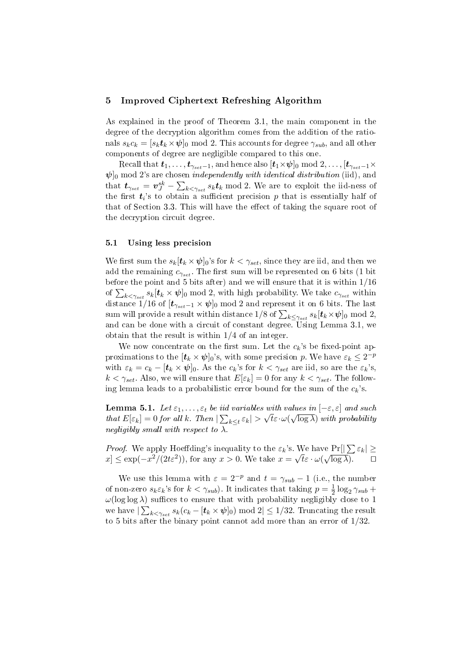## 5 Improved Ciphertext Refreshing Algorithm

As explained in the proof of Theorem 3.1, the main component in the degree of the decryption algorithm comes from the addition of the rationals  $s_k c_k = [s_k t_k \times \psi]_0 \text{ mod } 2$ . This accounts for degree  $\gamma_{sub}$ , and all other components of degree are negligible compared to this one.

Recall that  $t_1, \ldots, t_{\gamma_{set}-1}$ , and hence also  $[t_1 \times \psi]_0 \mod 2, \ldots, [t_{\gamma_{set}-1} \times$  $\psi$ <sub>0</sub> mod 2's are chosen *independently with identical distribution* (iid), and that  $t_{\gamma_{set}} = v^{sk}_{J} - \sum_{k < \gamma_{set}} s_k t_k \bmod 2$ . We are to exploit the iid-ness of the first  $t_i$ 's to obtain a sufficient precision  $p$  that is essentially half of that of Section 3.3. This will have the effect of taking the square root of the decryption circuit degree.

#### 5.1 Using less precision

We first sum the  $s_k[t_k \times \psi]_0$ 's for  $k < \gamma_{set}$ , since they are iid, and then we add the remaining  $c_{\gamma_{\text{set}}}$ . The first sum will be represented on 6 bits (1 bit before the point and 5 bits after) and we will ensure that it is within 1/16 before the point and 5 bits after) and we will ensure that it is within 1/10 of  $\sum_{k \leq \gamma_{set}} s_k[t_k \times \psi]_0 \mod 2$ , with high probability. We take  $c_{\gamma_{set}}$  within distance 1/16 of  $[t_{\gamma_{set}-1} \times \psi]_0 \mod 2$  and represent it on 6 bits. The last sum will provide a result within distance  $1/8$  of  $\sum_{k \leq \gamma_{set}} s_k[t_k \times \psi]_0 \bmod 2,$ and can be done with a circuit of constant degree. Using Lemma 3.1, we obtain that the result is within 1/4 of an integer.

We now concentrate on the first sum. Let the  $c_k$ 's be fixed-point approximations to the  $[\boldsymbol{t}_k \times \boldsymbol{\psi}]_0$ 's, with some precision p. We have  $\varepsilon_k \leq 2^{-p}$ with  $\varepsilon_k = c_k - [t_k \times \psi]_0$ . As the  $c_k$ 's for  $k < \gamma_{set}$  are iid, so are the  $\varepsilon_k$ 's,  $k < \gamma_{set}$ . Also, we will ensure that  $E[\varepsilon_k] = 0$  for any  $k < \gamma_{set}$ . The following lemma leads to a probabilistic error bound for the sum of the  $c_k$ 's.

**Lemma 5.1.** Let  $\varepsilon_1, \ldots, \varepsilon_t$  be iid variables with values in  $[-\varepsilon, \varepsilon]$  and such that  $E[\varepsilon_k] = 0$  for all k. Then  $|\sum_{k \le t} \varepsilon_k| > \sqrt{t} \varepsilon \cdot \omega(\sqrt{\log \lambda})$  with probability negligibly small with respect to  $\lambda$ .

*Proof.* We apply Hoeffding's inequality to the  $\varepsilon_k$ 's. We have  $Pr[|\sum_{k} \varepsilon_k| \geq$  $x \leq \exp(-x^2/(2t\varepsilon^2))$ , for any  $x > 0$ . We take  $x = \sqrt{t\varepsilon} \cdot \omega(\sqrt{\log \lambda})$ .

We use this lemma with  $\varepsilon = 2^{-p}$  and  $t = \gamma_{sub} - 1$  (i.e., the number of non-zero  $s_k \varepsilon_k$ 's for  $k < \gamma_{sub}$ ). It indicates that taking  $p = \frac{1}{2}$  $\frac{1}{2} \log_2 \gamma_{sub} +$  $\omega(\log \log \lambda)$  suffices to ensure that with probability negligibly close to 1 we have  $|\sum_{k<\gamma_{set}}s_k(c_k-[\bm{t}_k\times \bm{\psi}]_0) \bmod 2|\leq 1/32.$  Truncating the result to 5 bits after the binary point cannot add more than an error of 1/32.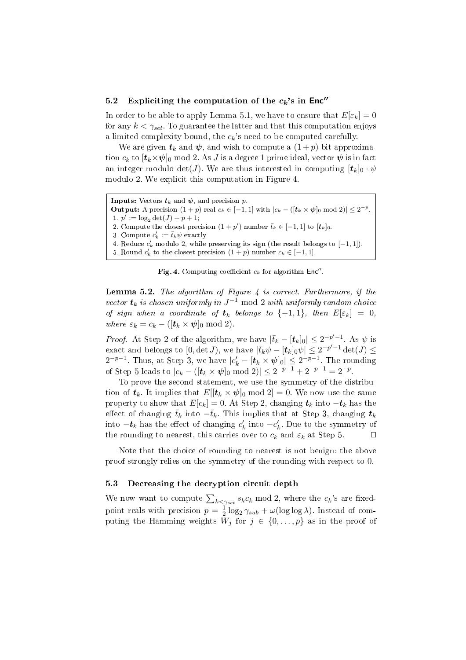### 5.2 Expliciting the computation of the  $c_k$ 's in Enc"

In order to be able to apply Lemma 5.1, we have to ensure that  $E[\varepsilon_k] = 0$ for any  $k < \gamma_{set}$ . To guarantee the latter and that this computation enjoys a limited complexity bound, the  $c_k$ 's need to be computed carefully.

We are given  $t_k$  and  $\psi$ , and wish to compute a  $(1+p)$ -bit approximation  $c_k$  to  $[\mathbf{t}_k \times \mathbf{\psi}]_0$  mod 2. As J is a degree 1 prime ideal, vector  $\mathbf{\psi}$  is in fact an integer modulo det(*J*). We are thus interested in computing  $[t_k]_0 \cdot \psi$ modulo 2. We explicit this computation in Figure 4.

```
Inputs: Vectors t_k and \psi, and precision p.
Output: A precision (1+p) real c_k \in [-1,1] with |c_k - (\lfloor t_k \times \psi \rfloor_0 \mod 2)| \leq 2^{-p}.
 1. p' := \log_2 \det(J) + p + 1;2. Compute the closest precision (1+p') number \bar{t}_k \in [-1,1] to [t_k]_0.
 3. Compute c'_k := \bar{t}_k \psi exactly.
 4. Reduce c'_k modulo 2, while preserving its sign (the result belongs to [-1, 1]).
 5. Round c'_k to the closest precision (1 + p) number c_k \in [-1, 1].
```
Fig. 4. Computing coefficient  $c_k$  for algorithm Enc".

**Lemma 5.2.** The algorithm of Figure  $\frac{1}{4}$  is correct. Furthermore, if the vector  $\boldsymbol{t}_k$  is chosen uniformly in  $J^{-1}$  mod 2 with uniformly random choice of sign when a coordinate of  $t_k$  belongs to  $\{-1,1\}$ , then  $E[\varepsilon_k] = 0$ , where  $\varepsilon_k = c_k - ([t_k \times \psi]_0 \text{ mod } 2).$ 

*Proof.* At Step 2 of the algorithm, we have  $|\bar{t}_k - [t_k]_0 | \leq 2^{-p'-1}$ . As  $\psi$  is exact and belongs to [0, det *J*), we have  $|\bar{t}_k \psi - [\bm{t}_k]_0 \psi| \leq 2^{-p'-1} \det(J) \leq$  $2^{-p-1}$ . Thus, at Step 3, we have  $|c'_{k} - [\boldsymbol{t}_{k} \times \boldsymbol{\psi}]_0 | \leq 2^{-p-1}$ . The rounding of Step 5 leads to  $|c_k - (\mathbf{[}t_k \times \mathbf{\psi}]_0 \bmod 2)| \leq 2^{-p-1} + 2^{-p-1} = 2^{-p}$ .

To prove the second statement, we use the symmetry of the distribution of  $t_k$ . It implies that  $E[[t_k \times \psi]_0 \text{ mod } 2] = 0$ . We now use the same property to show that  $E[c_k] = 0$ . At Step 2, changing  $t_k$  into  $-t_k$  has the effect of changing  $\bar{t}_k$  into  $-\bar{t}_k$ . This implies that at Step 3, changing  $t_k$ into  $-t_k$  has the effect of changing  $c'_k$  into  $-c'_k$ . Due to the symmetry of the rounding to nearest, this carries over to  $c_k$  and  $\varepsilon_k$  at Step 5.  $\Box$ 

Note that the choice of rounding to nearest is not benign: the above proof strongly relies on the symmetry of the rounding with respect to 0.

### 5.3 Decreasing the decryption circuit depth

We now want to compute  $\sum_{k \leq \gamma_{set}} s_k c_k \mod 2$ , where the  $c_k$ 's are fixedpoint reals with precision  $p=\frac{1}{2}$  $\frac{1}{2} \log_2 \gamma_{sub} + \omega(\log \log \lambda)$ . Instead of computing the Hamming weights  $\overline{W}_i$  for  $j \in \{0, \ldots, p\}$  as in the proof of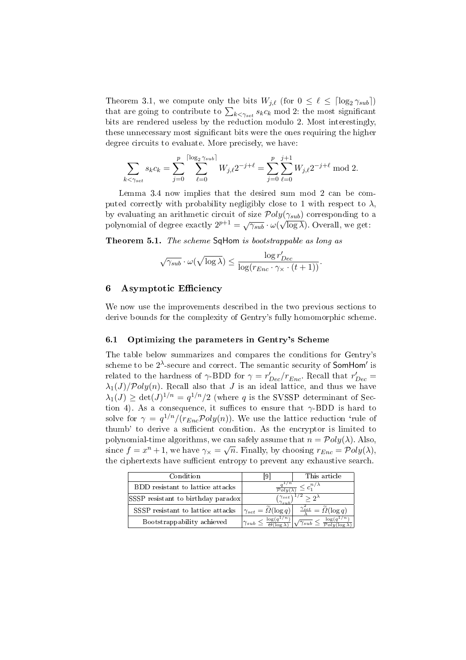Theorem 3.1, we compute only the bits  $W_{i,\ell}$  (for  $0 \leq \ell \leq \lceil \log_2 \gamma_{sub} \rceil$ ) Theorem 3.1, we compute only the bits  $W_{j,\ell}$  (for  $0 \le \ell \le |\log_2 \gamma_{sub}|$ )<br>that are going to contribute to  $\sum_{k < \gamma_{set}} s_k c_k \mod 2$ : the most significant bits are rendered useless by the reduction modulo 2. Most interestingly, these unnecessary most significant bits were the ones requiring the higher degree circuits to evaluate. More precisely, we have:

$$
\sum_{k < \gamma_{set}} s_k c_k = \sum_{j=0}^p \sum_{\ell=0}^{\lceil \log_2 \gamma_{sub} \rceil} W_{j,\ell} 2^{-j+\ell} = \sum_{j=0}^p \sum_{\ell=0}^{j+1} W_{j,\ell} 2^{-j+\ell} \mod 2.
$$

Lemma 3.4 now implies that the desired sum mod 2 can be computed correctly with probability negligibly close to 1 with respect to  $\lambda$ , by evaluating an arithmetic circuit of size  $Poly(\gamma_{sub})$  corresponding to a by evaluating an arrameter effect of size  $\gamma$  or  $g(\gamma_{sub})$  corresponding to polynomial of degree exactly  $2^{p+1} = \sqrt{\gamma_{sub}} \cdot \omega(\sqrt{\log \lambda})$ . Overall, we get:

Theorem 5.1. The scheme SqHom is bootstrappable as long as

$$
\sqrt{\gamma_{sub}} \cdot \omega(\sqrt{\log \lambda}) \leq \frac{\log r'_{Dec}}{\log(r_{Enc} \cdot \gamma_{\times} \cdot (t+1))}.
$$

### 6 Asymptotic Efficiency

We now use the improvements described in the two previous sections to derive bounds for the complexity of Gentry's fully homomorphic scheme.

## 6.1 Optimizing the parameters in Gentry's Scheme

The table below summarizes and compares the conditions for Gentry's scheme to be  $2^{\lambda}$ -secure and correct. The semantic security of **SomHom'** is related to the hardness of  $\gamma$ -BDD for  $\gamma = r'_{Dec}/r_{Enc}$ . Recall that  $r'_{Dec}$  =  $\lambda_1(J)/\mathcal{P}oly(n)$ . Recall also that J is an ideal lattice, and thus we have  $\lambda_1(J) \geq \det(J)^{1/n} = q^{1/n}/2$  (where q is the SVSSP determinant of Section 4). As a consequence, it suffices to ensure that  $\gamma$ -BDD is hard to solve for  $\gamma = q^{1/n}/(r_{Enc} \mathcal{P}oly(n))$ . We use the lattice reduction 'rule of thumb' to derive a sufficient condition. As the encryptor is limited to polynomial-time algorithms, we can safely assume that  $n = \mathcal{P}oly(\lambda)$ . Also, since  $f = x^n + 1$ , we have  $\gamma_{\times} = \sqrt{n}$ . Finally, by choosing  $r_{Enc} = \mathcal{P}oly(\lambda)$ , the ciphertexts have sufficient entropy to prevent any exhaustive search.

| Condition                          |                                                                       | This article                                                 |
|------------------------------------|-----------------------------------------------------------------------|--------------------------------------------------------------|
| BDD resistant to lattice attacks   | $\alpha \leq c_1^{n/\lambda}$<br>$\overline{\mathcal{P}oly(\lambda)}$ |                                                              |
| SSSP resistant to birthday paradox | $\gamma_{set}$<br>$> 2^{\lambda}$<br>$\gamma_{sub}$                   |                                                              |
| SSSP resistant to lattice attacks  | $\gamma_{set} = \widetilde{\Omega}(\log q)$                           | $\frac{\gamma_{set}^2}{\gamma} = \widetilde{\Omega}(\log q)$ |
| Bootstrappability achieved         | $\log(q^{1/\overline{n}})$<br>$\gamma_{sub} \leq$                     | log(q)<br>$\sqrt{\gamma_{sub}}$                              |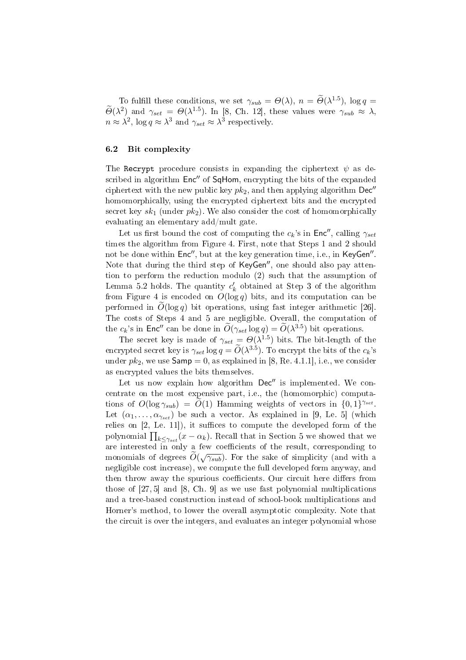To fulfill these conditions, we set  $\gamma_{sub} = \Theta(\lambda)$ ,  $n = \widetilde{\Theta}(\lambda^{1.5})$ ,  $\log q =$  $\widetilde{\Theta}(\lambda^2)$  and  $\gamma_{set} = \Theta(\lambda^{1.5})$ . In [8, Ch. 12], these values were  $\gamma_{sub} \approx \lambda$ ,  $n \approx \lambda^2$ ,  $\log q \approx \lambda^3$  and  $\gamma_{set} \approx \lambda^3$  respectively.

## 6.2 Bit complexity

The Recrypt procedure consists in expanding the ciphertext  $\psi$  as described in algorithm  $Enc''$  of SqHom, encrypting the bits of the expanded ciphertext with the new public key  $pk_2$ , and then applying algorithm Dec'' homomorphically, using the encrypted ciphertext bits and the encrypted secret key  $sk_1$  (under  $pk_2$ ). We also consider the cost of homomorphically evaluating an elementary add/mult gate.

Let us first bound the cost of computing the  $c_k$ 's in Enc'', calling  $\gamma_{set}$ times the algorithm from Figure 4. First, note that Steps 1 and 2 should not be done within  $\mathsf{Enc}''$ , but at the key generation time, i.e., in  $\mathsf{KeyGen}''$ . Note that during the third step of  $KeyGen''$ , one should also pay attention to perform the reduction modulo (2) such that the assumption of Lemma 5.2 holds. The quantity  $c'_k$  obtained at Step 3 of the algorithm from Figure 4 is encoded on  $O(\log q)$  bits, and its computation can be performed in  $O(\log q)$  bit operations, using fast integer arithmetic [26]. The costs of Steps 4 and 5 are negligible. Overall, the computation of the  $c_k$ 's in Enc<sup>n</sup> can be done in  $\widetilde{O}(\gamma_{set} \log q) = \widetilde{O}(\lambda^{3.5})$  bit operations.

The secret key is made of  $\gamma_{set} = \Theta(\lambda^{1.5})$  bits. The bit-length of the encrypted secret key is  $\gamma_{set} \log q = \widetilde{O}(\lambda^{3.5})$ . To encrypt the bits of the  $c_k$ 's under  $pk_2$ , we use  $Samp = 0$ , as explained in [8, Re. 4.1.1], i.e., we consider as encrypted values the bits themselves.

Let us now explain how algorithm  $Dec''$  is implemented. We concentrate on the most expensive part, i.e., the (homomorphic) computations of  $O(\log \gamma_{sub}) = \tilde{O}(1)$  Hamming weights of vectors in  $\{0, 1\}^{\gamma_{set}}$ . Let  $(\alpha_1, \ldots, \alpha_{\gamma_{set}})$  be such a vector. As explained in [9, Le. 5] (which relies on  $[2,$  Le. 11]), it suffices to compute the developed form of the polynomial  $\prod_{k \leq \gamma_{set}} (x - \alpha_k)$ . Recall that in Section 5 we showed that we are interested in only a few coefficients of the result, corresponding to monomials of degrees  $\tilde{O}(\sqrt{\gamma_{sub}})$ . For the sake of simplicity (and with a negligible cost increase), we compute the full developed form anyway, and then throw away the spurious coefficients. Our circuit here differs from those of [27, 5] and [8, Ch. 9] as we use fast polynomial multiplications and a tree-based construction instead of school-book multiplications and Horner's method, to lower the overall asymptotic complexity. Note that the circuit is over the integers, and evaluates an integer polynomial whose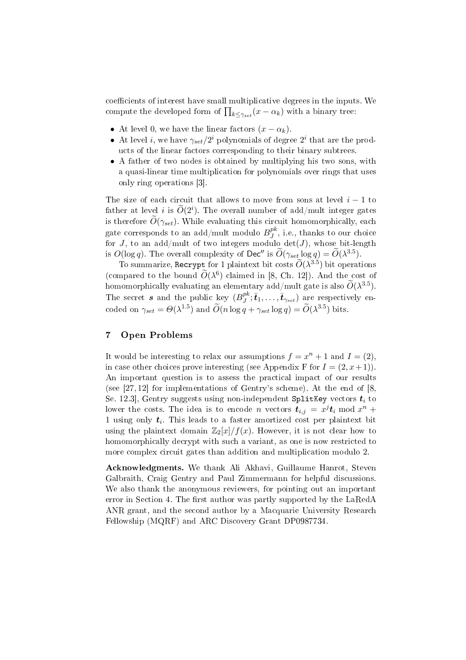coefficients of interest have small multiplicative degrees in the inputs. We coencients of interest nave small multiplicative degrees in the input<br>compute the developed form of  $\prod_{k \leq \gamma_{set}}(x-\alpha_k)$  with a binary tree:

- At level 0, we have the linear factors  $(x \alpha_k)$ .
- At level *i*, we have  $\gamma_{set}/2^i$  polynomials of degree  $2^i$  that are the products of the linear factors corresponding to their binary subtrees.
- A father of two nodes is obtained by multiplying his two sons, with a quasi-linear time multiplication for polynomials over rings that uses only ring operations [3].

The size of each circuit that allows to move from sons at level  $i - 1$  to father at level  $i$  is  $\widetilde{O}(2^i)$ . The overall number of add/mult integer gates is therefore  $\widetilde{O}(\gamma_{set})$ . While evaluating this circuit homomorphically, each gate corresponds to an add/mult modulo  $B^{pk}_J$  $_J^{p\kappa}$ , i.e., thanks to our choice for J, to an add/mult of two integers modulo  $\det(J)$ , whose bit-length is  $O(\log q)$ . The overall complexity of Dec" is  $\widetilde{O}(\gamma_{set} \log q) = \widetilde{O}(\lambda^{3.5})$ .

To summarize, Recrypt for 1 plaintext bit costs  $\widetilde{O}(\lambda^{3.5})$  bit operations (compared to the bound  $\widetilde{O}(\lambda^6)$  claimed in [8, Ch. 12]). And the cost of homomorphically evaluating an elementary add/mult gate is also  $\widetilde{O}(\lambda^{3.5})$ . The secret  $s$  and the public key  $(B^{pk}_I)$  $j^{pk}; \bar{t}_1, \ldots, \bar{t}_{\gamma_{set}}$ ) are respectively encoded on  $\gamma_{set} = \Theta(\lambda^{1.5})$  and  $\widetilde{O}(n \log q + \gamma_{set} \log q) = \widetilde{O}(\lambda^{3.5})$  bits.

## 7 Open Problems

It would be interesting to relax our assumptions  $f = x^n + 1$  and  $I = (2)$ , in case other choices prove interesting (see Appendix F for  $I = (2, x+1)$ ). An important question is to assess the practical impact of our results (see [27, 12] for implementations of Gentry's scheme). At the end of [8, Se. 12.3, Gentry suggests using non-independent SplitKey vectors  $t_i$  to lower the costs. The idea is to encode n vectors  $t_{i,j} = x^j t_i \bmod x^n +$ 1 using only  $t_i$ . This leads to a faster amortized cost per plaintext bit using the plaintext domain  $\mathbb{Z}_2[x]/f(x)$ . However, it is not clear how to homomorphically decrypt with such a variant, as one is now restricted to more complex circuit gates than addition and multiplication modulo 2.

Acknowledgments. We thank Ali Akhavi, Guillaume Hanrot, Steven Galbraith, Craig Gentry and Paul Zimmermann for helpful discussions. We also thank the anonymous reviewers, for pointing out an important error in Section 4. The first author was partly supported by the LaRedA ANR grant, and the second author by a Macquarie University Research Fellowship (MQRF) and ARC Discovery Grant DP0987734.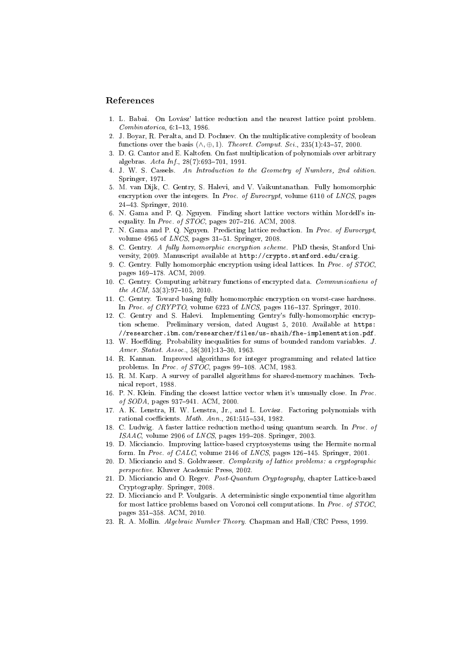### References

- 1. L. Babai. On Lovász' lattice reduction and the nearest lattice point problem.  $Combinatorica, 6:1-13, 1986.$
- 2. J. Boyar, R. Peralta, and D. Pochuev. On the multiplicative complexity of boolean functions over the basis  $(\wedge, \oplus, 1)$ . Theoret. Comput. Sci., 235(1):43-57, 2000.
- 3. D. G. Cantor and E. Kaltofen. On fast multiplication of polynomials over arbitrary algebras.  $Acta Inf.$ , 28(7):693-701, 1991.
- 4. J. W. S. Cassels. An Introduction to the Geometry of Numbers, 2nd edition. Springer, 1971.
- 5. M. van Dijk, C. Gentry, S. Halevi, and V. Vaikuntanathan. Fully homomorphic encryption over the integers. In Proc. of Eurocrypt, volume 6110 of LNCS, pages 2443. Springer, 2010.
- 6. N. Gama and P. Q. Nguyen. Finding short lattice vectors within Mordell's inequality. In Proc. of  $STOC$ , pages 207-216. ACM, 2008.
- 7. N. Gama and P. Q. Nguyen. Predicting lattice reduction. In Proc. of Eurocrypt, volume 4965 of  $LNCS$ , pages 31-51. Springer, 2008.
- 8. C. Gentry. A fully homomorphic encryption scheme. PhD thesis, Stanford University, 2009. Manuscript available at http://crypto.stanford.edu/craig.
- 9. C. Gentry. Fully homomorphic encryption using ideal lattices. In Proc. of STOC, pages 169-178. ACM, 2009.
- 10. C. Gentry. Computing arbitrary functions of encrypted data. Communications of the  $ACM$ ,  $53(3):97-105$ ,  $2010$ .
- 11. C. Gentry. Toward basing fully homomorphic encryption on worst-case hardness. In Proc. of CRYPTO, volume 6223 of LNCS, pages 116-137. Springer, 2010.
- 12. C. Gentry and S. Halevi. Implementing Gentry's fully-homomorphic encryption scheme. Preliminary version, dated August 5, 2010. Available at https: //researcher.ibm.com/researcher/files/us-shaih/fhe-implementation.pdf.
- 13. W. Hoeffding. Probability inequalities for sums of bounded random variables. J. Amer. Statist. Assoc., 58(301):13-30, 1963.
- 14. R. Kannan. Improved algorithms for integer programming and related lattice problems. In *Proc. of STOC*, pages  $99-108$ , ACM, 1983.
- 15. R. M. Karp. A survey of parallel algorithms for shared-memory machines. Technical report, 1988.
- 16. P. N. Klein. Finding the closest lattice vector when it's unusually close. In Proc. of SODA, pages 937-941. ACM, 2000.
- 17. A. K. Lenstra, H. W. Lenstra, Jr., and L. Lovász. Factoring polynomials with rational coefficients.  $Math. Ann., 261:515-534, 1982.$
- 18. C. Ludwig. A faster lattice reduction method using quantum search. In Proc. of  $ISAAC$ , volume 2906 of  $LNCS$ , pages 199-208. Springer, 2003.
- 19. D. Micciancio. Improving lattice-based cryptosystems using the Hermite normal form. In Proc. of CALC, volume 2146 of LNCS, pages  $126-145$ . Springer, 2001.
- 20. D. Micciancio and S. Goldwasser. Complexity of lattice problems: a cryptographic perspective. Kluwer Academic Press, 2002.
- 21. D. Micciancio and O. Regev. Post-Quantum Cryptography, chapter Lattice-based Cryptography. Springer, 2008.
- 22. D. Micciancio and P. Voulgaris. A deterministic single exponential time algorithm for most lattice problems based on Voronoi cell computations. In Proc. of STOC, pages 351-358. ACM, 2010.
- 23. R. A. Mollin. Algebraic Number Theory. Chapman and Hall/CRC Press, 1999.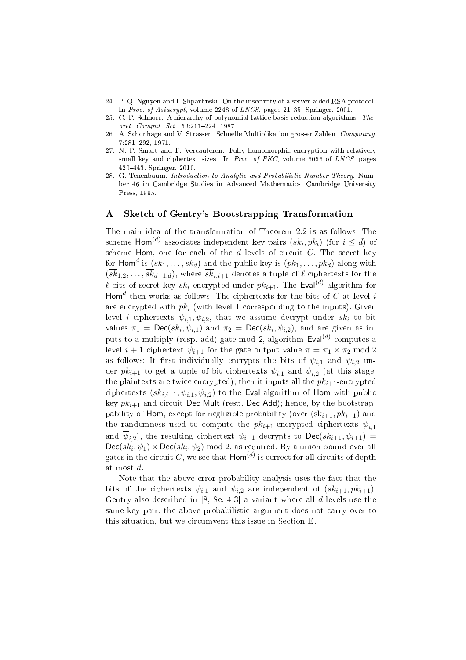- 24. P. Q. Nguyen and I. Shparlinski. On the insecurity of a server-aided RSA protocol. In Proc. of Asiacrypt, volume 2248 of LNCS, pages 21-35. Springer, 2001.
- 25. C. P. Schnorr. A hierarchy of polynomial lattice basis reduction algorithms. Theoret. Comput. Sci., 53:201-224, 1987.
- 26. A. Schönhage and V. Strassen. Schnelle Multiplikation grosser Zahlen. Computing, 7:281292, 1971.
- 27. N. P. Smart and F. Vercauteren. Fully homomorphic encryption with relatively small key and ciphertext sizes. In Proc. of PKC, volume 6056 of LNCS, pages 420443. Springer, 2010.
- 28. G. Tenenbaum. Introduction to Analytic and Probabilistic Number Theory. Number 46 in Cambridge Studies in Advanced Mathematics. Cambridge University Press, 1995.

#### A Sketch of Gentry's Bootstrapping Transformation

The main idea of the transformation of Theorem 2.2 is as follows. The scheme  $\mathsf{Hom}^{(d)}$  associates independent key pairs  $(sk_i, pk_i)$  (for  $i \leq d$ ) of scheme Hom, one for each of the  $d$  levels of circuit  $C$ . The secret key for  $\mathsf{Hom}^d$  is  $(sk_1, \ldots, sk_d)$  and the public key is  $(pk_1, \ldots, pk_d)$  along with  $(\overline{sk}_{1,2}, \ldots, \overline{sk}_{d-1,d})$ , where  $\overline{sk}_{i,i+1}$  denotes a tuple of  $\ell$  ciphertexts for the  $\ell$  bits of secret key  $sk_i$  encrypted under  $pk_{i+1}$ . The Eval<sup>(d)</sup> algorithm for Hom<sup>d</sup> then works as follows. The ciphertexts for the bits of  $\overline{C}$  at level i are encrypted with  $pk_i$  (with level 1 corresponding to the inputs). Given level *i* ciphertexts  $\psi_{i,1}, \psi_{i,2}$ , that we assume decrypt under  $sk_i$  to bit values  $\pi_1 = \textsf{Dec}(sk_i, \psi_{i,1})$  and  $\pi_2 = \textsf{Dec}(sk_i, \psi_{i,2})$ , and are given as inputs to a multiply (resp. add) gate mod 2, algorithm  $\textsf{Eval}^{(d)}$  computes a level  $i + 1$  ciphertext  $\psi_{i+1}$  for the gate output value  $\pi = \pi_1 \times \pi_2 \mod 2$ as follows: It first individually encrypts the bits of  $\psi_{i,1}$  and  $\psi_{i,2}$  under  $pk_{i+1}$  to get a tuple of bit ciphertexts  $\overline{\psi}_{i,1}$  and  $\overline{\psi}_{i,2}$  (at this stage, the plaintexts are twice encrypted); then it inputs all the  $pk_{i+1}$ -encrypted ciphertexts  $(sk_{i,i+1}, \psi_{i,1}, \psi_{i,2})$  to the Eval algorithm of Hom with public key  $pk_{i+1}$  and circuit Dec-Mult (resp. Dec-Add); hence, by the bootstrappability of Hom, except for negligible probability (over  $(\text{sk}_{i+1}, p k_{i+1})$ ) and the randomness used to compute the  $pk_{i+1}$ -encrypted ciphertexts  $\overline{\psi}_{i,1}$ and  $\overline{\psi}_{i,2}$ ), the resulting ciphertext  $\psi_{i+1}$  decrypts to  $\mathsf{Dec}(sk_{i+1}, \psi_{i+1})$  =  $Dec(sk_i, \psi_1) \times Dec(sk_i, \psi_2) \text{ mod } 2$ , as required. By a union bound over all gates in the circuit  $C,$  we see that  $\mathsf{Hom}^{(d)}$  is correct for all circuits of  $\operatorname{depth}$ at most d.

Note that the above error probability analysis uses the fact that the bits of the ciphertexts  $\psi_{i,1}$  and  $\psi_{i,2}$  are independent of  $(sk_{i+1}, pk_{i+1})$ . Gentry also described in  $[8, Se. 4.3]$  a variant where all  $d$  levels use the same key pair: the above probabilistic argument does not carry over to this situation, but we circumvent this issue in Section E.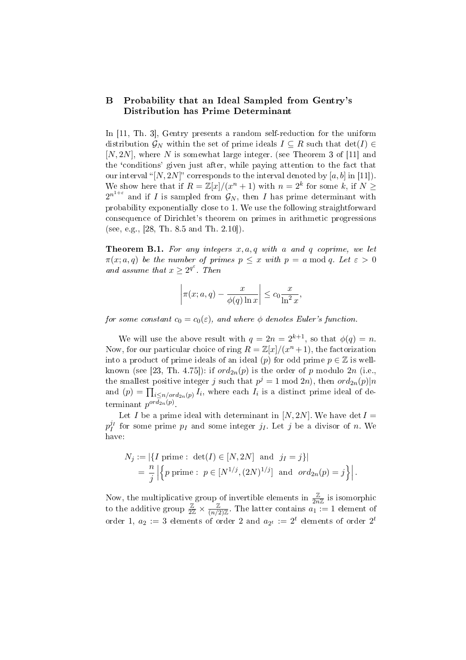## B Probability that an Ideal Sampled from Gentry's Distribution has Prime Determinant

In [11, Th. 3], Gentry presents a random self-reduction for the uniform distribution  $\mathcal{G}_N$  within the set of prime ideals  $I \subseteq R$  such that  $\det(I) \in$  $[N, 2N]$ , where N is somewhat large integer. (see Theorem 3 of [11] and the `conditions' given just after, while paying attention to the fact that our interval "[N, 2N]" corresponds to the interval denoted by [a, b] in [11]). We show here that if  $R = \mathbb{Z}[x]/(x^n + 1)$  with  $n = 2^k$  for some k, if  $N \geq$  $2^{n^{1+\varepsilon}}$  and if I is sampled from  $\mathcal{G}_N$ , then I has prime determinant with probability exponentially close to 1. We use the following straightforward consequence of Dirichlet's theorem on primes in arithmetic progressions (see, e.g., [28, Th. 8.5 and Th. 2.10]).

**Theorem B.1.** For any integers  $x, a, q$  with a and q coprime, we let  $\pi(x; a, q)$  be the number of primes  $p \leq x$  with  $p = a \mod q$ . Let  $\varepsilon > 0$ and assume that  $x \geq 2^{q^{\varepsilon}}$ . Then

$$
\left|\pi(x;a,q) - \frac{x}{\phi(q)\ln x}\right| \le c_0 \frac{x}{\ln^2 x},
$$

for some constant  $c_0 = c_0(\varepsilon)$ , and where  $\phi$  denotes Euler's function.

We will use the above result with  $q = 2n = 2^{k+1}$ , so that  $\phi(q) = n$ . Now, for our particular choice of ring  $R = \mathbb{Z}[x]/(x^n + 1)$ , the factorization into a product of prime ideals of an ideal (p) for odd prime  $p \in \mathbb{Z}$  is wellknown (see [23, Th. 4.75]): if  $ord_{2n}(p)$  is the order of p modulo  $2n$  (i.e., the smallest positive integer j such that  $p^j = 1 \mod 2n$ , then  $\text{ord}_{2n}(p)|n$ and  $(p) = \prod_{i \leq n/ord_{2n}(p)} I_i$ , where each  $I_i$  is a distinct prime ideal of determinant  $p^{ord_{2n}(p)}$ .

Let I be a prime ideal with determinant in  $[N, 2N]$ . We have det  $I =$  $p_T^{j_I}$  for some prime  $p_I$  and some integer  $j_I$ . Let  $j$  be a divisor of n. We have:

$$
N_j := |\{ I \text{ prime} : \det(I) \in [N, 2N] \text{ and } j_I = j \}|
$$
  
=  $\frac{n}{j} |\{ p \text{ prime} : p \in [N^{1/j}, (2N)^{1/j}] \text{ and } ord_{2n}(p) = j \}|.$ 

Now, the multiplicative group of invertible elements in  $\frac{\mathbb{Z}}{2n\mathbb{Z}}$  is isomorphic to the additive group  $\frac{\mathbb{Z}}{2\mathbb{Z}} \times \frac{\mathbb{Z}}{(n/2)}$  $\frac{\mathbb{Z}}{(n/2)\mathbb{Z}}$ . The latter contains  $a_1 := 1$  element of order 1,  $a_2 := 3$  elements of order 2 and  $a_{2^t} := 2^t$  elements of order  $2^t$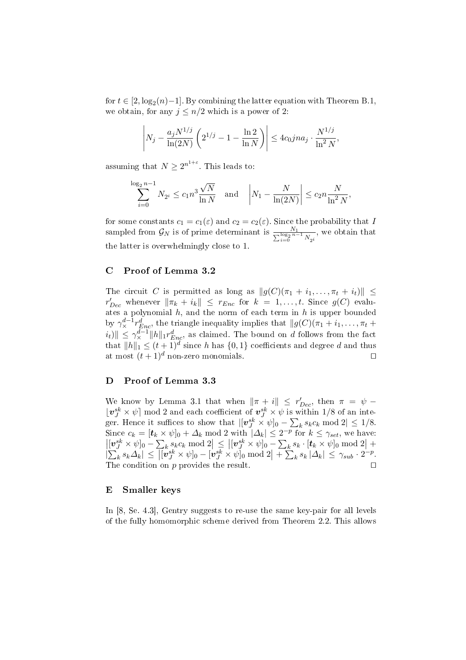for  $t \in [2, \log_2(n)-1]$ . By combining the latter equation with Theorem B.1, we obtain, for any  $j \leq n/2$  which is a power of 2:

$$
\left| N_j - \frac{a_j N^{1/j}}{\ln(2N)} \left( 2^{1/j} - 1 - \frac{\ln 2}{\ln N} \right) \right| \le 4c_0 j n a_j \cdot \frac{N^{1/j}}{\ln^2 N},
$$

assuming that  $N \geq 2^{n^{1+\varepsilon}}$ . This leads to:

$$
\sum_{i=0}^{\log_2 n - 1} N_{2^i} \le c_1 n^3 \frac{\sqrt{N}}{\ln N} \quad \text{and} \quad \left| N_1 - \frac{N}{\ln(2N)} \right| \le c_2 n \frac{N}{\ln^2 N},
$$

for some constants  $c_1 = c_1(\varepsilon)$  and  $c_2 = c_2(\varepsilon)$ . Since the probability that I sampled from  $\mathcal{G}_N$  is of prime determinant is  $\frac{N_1}{\sum_{i=0}^{\log_2 n-1} N_{2^i}}$ , we obtain that the latter is overwhelmingly close to 1.

## C Proof of Lemma 3.2

The circuit C is permitted as long as  $||g(C)(\pi_1 + i_1, \ldots, \pi_t + i_t)|| \le$  $r_{Dec}'$  whenever  $\|\pi_k + i_k\| \leq r_{Enc}$  for  $k = 1, ..., t$ . Since  $g(C)$  evaluates a polynomial  $h$ , and the norm of each term in  $h$  is upper bounded by  $\gamma_{\times}^{d-1} r_{Enc}^d$ , the triangle inequality implies that  $||g(C)(\pi_1 + i_1, \ldots, \pi_t +$  $||\tilde{u}_t||_1 \leq \gamma_{\times}^{d-1} ||h||_1 r_{Enc}^d$ , as claimed. The bound on d follows from the fact that  $||h||_1 \leq (t+1)^d$  since h has  $\{0,1\}$  coefficients and degree d and thus at most  $(t+1)^d$  non-zero monomials.

## D Proof of Lemma 3.3

We know by Lemma 3.1 that when  $\|\pi + i\|$   $\leq r'_{Dec}$ , then  $\pi = \psi$  –  $\lfloor v_j^{sk} \times \psi \rfloor$  mod 2 and each coefficient of  $v_j^{sk} \times \psi$  is within 1/8 of an integer. Hence it suffices to show that  $| [v_j^{sk} \times \psi]_0 - \sum_k s_k c_k \bmod 2 | \leq 1/8$ . Since  $c_k = [\mathbf{t}_k \times \psi]_0 + \Delta_k \text{ mod } 2$  with  $|\Delta_k| \leq 2^{-p}$  for  $k \leq \gamma_{set}$ , we have:  $\left|[\boldsymbol{v}_J^{sk}\times \psi]_0 - \sum_k s_k c_k \bmod 2\right| \leq \left|[\boldsymbol{v}_J^{sk}\times \psi]_0 - \sum_k s_k \cdot [\boldsymbol{t}_k\times \psi]_0 \bmod 2\right| + \nonumber$ |  $\overline{C}$  $\left| k \right. s_{k} \Delta_{k} \right| \leq$  $\frac{\sum_k s_k c_k \bmod 2}{\left| \left[ \bm{v}_J^{sk} \times \psi \right]_0 - \left[ \bm{v}_J^{sk} \times \psi \right]_0 \bmod 2}$  $\begin{array}{c} -\sum_{k} 3 \\ + \sum_{k} \end{array}$  $|k| \leq \gamma_{sub} \cdot 2^{-p}.$ The condition on  $p$  provides the result.

## E Smaller keys

In [8, Se. 4.3], Gentry suggests to re-use the same key-pair for all levels of the fully homomorphic scheme derived from Theorem 2.2. This allows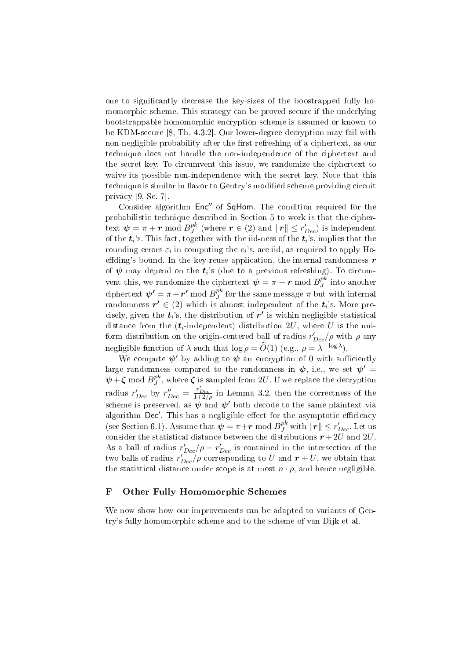one to signicantly decrease the key-sizes of the boostrapped fully homomorphic scheme. This strategy can be proved secure if the underlying bootstrappable homomorphic encryption scheme is assumed or known to be KDM-secure [8, Th. 4.3.2]. Our lower-degree decryption may fail with non-negligible probability after the first refreshing of a ciphertext, as our technique does not handle the non-independence of the ciphertext and the secret key. To circumvent this issue, we randomize the ciphertext to waive its possible non-independence with the secret key. Note that this technique is similar in flavor to Gentry's modified scheme providing circuit privacy [9, Se. 7].

Consider algorithm Enc<sup>"</sup> of SqHom. The condition required for the probabilistic technique described in Section 5 to work is that the cipher- $\text{text } \boldsymbol{\psi} = \pi + \boldsymbol{r} \bmod B_J^{pk}$  $\frac{p k}{J}$  (where  $\boldsymbol{r} \in (2)$  and  $\|\boldsymbol{r}\| \leq r_{Dec}'$ ) is independent of the  $t_i$ 's. This fact, together with the iid-ness of the  $t_i$ 's, implies that the rounding errors  $\varepsilon_i$  in computing the  $c_i$ 's, are iid, as required to apply Hoeffding's bound. In the key-reuse application, the internal randomness  $r$ of  $\boldsymbol{\psi}$  may depend on the  $\boldsymbol{t}_i$ 's (due to a previous refreshing). To circumvent this, we randomize the ciphertext  $\boldsymbol{\psi} = \pi + \boldsymbol{r} \bmod B_J^{pk}$  $_J^{p\kappa}$  into another ciphertext  $\boldsymbol{\psi'} = \pi + \boldsymbol{r'} \bmod B_J^{pk}$  $_J^{p\kappa}$  for the same message  $\pi$  but with internal randomness  $r' \in (2)$  which is almost independent of the  $t_i$ 's. More precisely, given the  $t_i$ 's, the distribution of  $r^\prime$  is within negligible statistical distance from the  $(t_i$ -independent) distribution  $2U$ , where U is the uniform distribution on the origin-centered ball of radius  $r'_{Dec}/\rho$  with  $\rho$  any negligible function of  $\lambda$  such that  $\log \rho = \widetilde{O}(1)$  (e.g.,  $\rho = \lambda^{-\log \lambda}$ ).

We compute  $\psi'$  by adding to  $\psi$  an encryption of 0 with sufficiently large randomness compared to the randomness in  $\psi$ , i.e., we set  $\psi' =$  $\psi + \zeta \mod B_I^{pk}$  $J^{\mathcal{P}^{\mathcal{K}}}_{J}$ , where  $\boldsymbol{\zeta}$  is sampled from  $2U$ . If we replace the decryption radius  $r'_{Dec}$  by  $r''_{Dec} = \frac{r'_{Dec}}{1+2/\rho}$  in Lemma 3.2, then the correctness of the scheme is preserved, as  $\psi$  and  $\psi'$  both decode to the same plaintext via algorithm  $\mathsf{Dec}'$ . This has a negligible effect for the asymptotic efficiency (see Section 6.1). Assume that  $\psi = \pi + r \mod B_J^{pk}$  with  $||r|| \leq r'_{Dec}$ . Let us consider the statistical distance between the distributions  $r+2U$  and  $2U$ . As a ball of radius  $r'_{Dec}/\rho - r'_{Dec}$  is contained in the intersection of the two balls of radius  $r'_{Dec}/\rho$  corresponding to U and  $r+U$ , we obtain that the statistical distance under scope is at most  $n \cdot \rho$ , and hence negligible.

## F Other Fully Homomorphic Schemes

We now show how our improvements can be adapted to variants of Gentry's fully homomorphic scheme and to the scheme of van Dijk et al.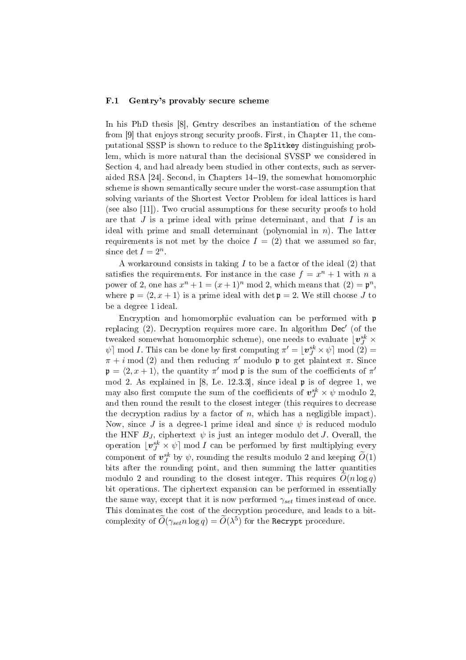#### F.1 Gentry's provably secure scheme

In his PhD thesis [8], Gentry describes an instantiation of the scheme from [9] that enjoys strong security proofs. First, in Chapter 11, the computational SSSP is shown to reduce to the Splitkey distinguishing problem, which is more natural than the decisional SVSSP we considered in Section 4, and had already been studied in other contexts, such as serveraided RSA [24]. Second, in Chapters 14–19, the somewhat homomorphic scheme is shown semantically secure under the worst-case assumption that solving variants of the Shortest Vector Problem for ideal lattices is hard (see also [11]). Two crucial assumptions for these security proofs to hold are that  $J$  is a prime ideal with prime determinant, and that  $I$  is an ideal with prime and small determinant (polynomial in  $n$ ). The latter requirements is not met by the choice  $I = (2)$  that we assumed so far, since  $\det I = 2^n$ .

A workaround consists in taking  $I$  to be a factor of the ideal  $(2)$  that satisfies the requirements. For instance in the case  $f = x^n + 1$  with n a power of 2, one has  $x^n + 1 = (x+1)^n \mod 2$ , which means that  $(2) = \mathfrak{p}^n$ , where  $p = \langle 2, x + 1 \rangle$  is a prime ideal with det  $p = 2$ . We still choose J to be a degree 1 ideal.

Encryption and homomorphic evaluation can be performed with p replacing  $(2)$ . Decryption requires more care. In algorithm  $Dec'$  (of the tweaked somewhat homomorphic scheme), one needs to evaluate  $\lfloor \bm{v}_J^{sk} \times$  $\psi$ ] mod *I*. This can be done by first computing  $\pi' = \lfloor \boldsymbol{v}_J^{sk} \times \psi \rfloor \bmod (2) =$  $\pi + i \mod (2)$  and then reducing  $\pi'$  modulo **p** to get plaintext  $\pi$ . Since  $\mathfrak{p} = \langle 2, x + 1 \rangle$ , the quantity  $\pi'$  mod p is the sum of the coefficients of  $\pi'$ mod 2. As explained in  $[8,$  Le. 12.3.3], since ideal  $\mathfrak p$  is of degree 1, we may also first compute the sum of the coefficients of  $\boldsymbol{v}^{sk}_{J}\times\psi$  modulo 2, and then round the result to the closest integer (this requires to decrease the decryption radius by a factor of  $n$ , which has a negligible impact). Now, since J is a degree-1 prime ideal and since  $\psi$  is reduced modulo the HNF  $B_J$ , ciphertext  $\psi$  is just an integer modulo det J. Overall, the operation  $\lfloor \boldsymbol{v}_J^{sk} \times \psi \rfloor \bmod I$  can be performed by first multiplying every component of  $\bm{v}_J^{sk}$  by  $\psi,$  rounding the results modulo 2 and keeping  $\widetilde{O}(1)$ bits after the rounding point, and then summing the latter quantities modulo 2 and rounding to the closest integer. This requires  $O(n \log q)$ bit operations. The ciphertext expansion can be performed in essentially the same way, except that it is now performed  $\gamma_{set}$  times instead of once. This dominates the cost of the decryption procedure, and leads to a bitcomplexity of  $\widetilde{O}(\gamma_{set} n \log q) = \widetilde{O}(\lambda^{5})$  for the <code>Recrypt</code> procedure.